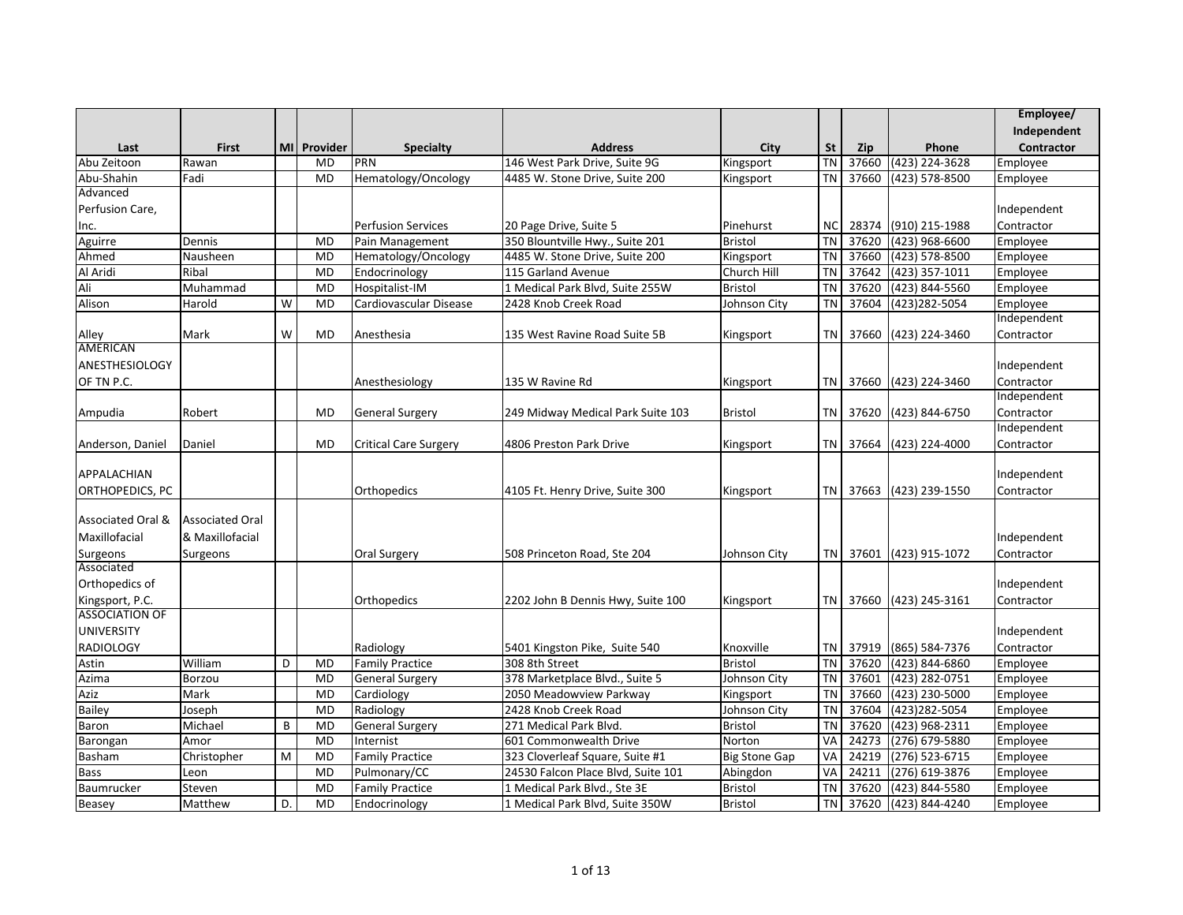|                       |                        |    |             |                              |                                    |                      |           |            |                         | Employee/         |
|-----------------------|------------------------|----|-------------|------------------------------|------------------------------------|----------------------|-----------|------------|-------------------------|-------------------|
|                       |                        |    |             |                              |                                    |                      |           |            |                         | Independent       |
| Last                  | <b>First</b>           |    | MI Provider | <b>Specialty</b>             | <b>Address</b>                     | City                 | <b>St</b> | <b>Zip</b> | Phone                   | <b>Contractor</b> |
| Abu Zeitoon           | Rawan                  |    | <b>MD</b>   | PRN                          | 146 West Park Drive, Suite 9G      | Kingsport            | <b>TN</b> | 37660      | $(423)$ 224-3628        | Employee          |
| Abu-Shahin            | Fadi                   |    | <b>MD</b>   | Hematology/Oncology          | 4485 W. Stone Drive, Suite 200     | Kingsport            | <b>TN</b> | 37660      | (423) 578-8500          | Employee          |
| Advanced              |                        |    |             |                              |                                    |                      |           |            |                         |                   |
| Perfusion Care,       |                        |    |             |                              |                                    |                      |           |            |                         | Independent       |
| Inc.                  |                        |    |             | <b>Perfusion Services</b>    | 20 Page Drive, Suite 5             | Pinehurst            | <b>NC</b> | 28374      | (910) 215-1988          | Contractor        |
| Aguirre               | Dennis                 |    | <b>MD</b>   | Pain Management              | 350 Blountville Hwy., Suite 201    | <b>Bristol</b>       | <b>TN</b> | 37620      | $(423)$ 968-6600        | Employee          |
| Ahmed                 | Nausheen               |    | <b>MD</b>   | Hematology/Oncology          | 4485 W. Stone Drive, Suite 200     | Kingsport            | <b>TN</b> | 37660      | (423) 578-8500          | Employee          |
| Al Aridi              | Ribal                  |    | <b>MD</b>   | Endocrinology                | 115 Garland Avenue                 | Church Hill          | <b>TN</b> | 37642      | (423) 357-1011          | Employee          |
| Ali                   | Muhammad               |    | <b>MD</b>   | Hospitalist-IM               | 1 Medical Park Blvd, Suite 255W    | <b>Bristol</b>       | <b>TN</b> | 37620      | (423) 844-5560          | Employee          |
| Alison                | Harold                 | W  | <b>MD</b>   | Cardiovascular Disease       | 2428 Knob Creek Road               | Johnson City         | <b>TN</b> | 37604      | (423) 282-5054          | Employee          |
|                       |                        |    |             |                              |                                    |                      |           |            |                         | Independent       |
| Alley                 | Mark                   | W  | <b>MD</b>   | Anesthesia                   | 135 West Ravine Road Suite 5B      | Kingsport            | TN I      | 37660      | (423) 224-3460          | Contractor        |
| <b>AMERICAN</b>       |                        |    |             |                              |                                    |                      |           |            |                         |                   |
| <b>ANESTHESIOLOGY</b> |                        |    |             |                              |                                    |                      |           |            |                         | Independent       |
| OF TN P.C.            |                        |    |             | Anesthesiology               | 135 W Ravine Rd                    | Kingsport            | TN        | 37660      | (423) 224-3460          | Contractor        |
|                       |                        |    |             |                              |                                    |                      |           |            |                         | Independent       |
| Ampudia               | Robert                 |    | <b>MD</b>   | <b>General Surgery</b>       | 249 Midway Medical Park Suite 103  | <b>Bristol</b>       | <b>TN</b> | 37620      | (423) 844-6750          | Contractor        |
|                       |                        |    |             |                              |                                    |                      |           |            |                         | Independent       |
| Anderson, Daniel      | Daniel                 |    | <b>MD</b>   | <b>Critical Care Surgery</b> | 4806 Preston Park Drive            | Kingsport            |           | TN 37664   | (423) 224-4000          | Contractor        |
|                       |                        |    |             |                              |                                    |                      |           |            |                         |                   |
| APPALACHIAN           |                        |    |             |                              |                                    |                      |           |            |                         | Independent       |
| ORTHOPEDICS, PC       |                        |    |             | Orthopedics                  | 4105 Ft. Henry Drive, Suite 300    | Kingsport            |           | TN 37663   | (423) 239-1550          | Contractor        |
|                       |                        |    |             |                              |                                    |                      |           |            |                         |                   |
| Associated Oral &     | <b>Associated Oral</b> |    |             |                              |                                    |                      |           |            |                         |                   |
| Maxillofacial         | & Maxillofacial        |    |             |                              |                                    |                      |           |            |                         | Independent       |
| Surgeons              | Surgeons               |    |             | Oral Surgery                 | 508 Princeton Road, Ste 204        | Johnson City         |           |            | TN 37601 (423) 915-1072 | Contractor        |
| Associated            |                        |    |             |                              |                                    |                      |           |            |                         |                   |
| Orthopedics of        |                        |    |             |                              |                                    |                      |           |            |                         | Independent       |
| Kingsport, P.C.       |                        |    |             | Orthopedics                  | 2202 John B Dennis Hwy, Suite 100  | Kingsport            |           | TN 37660   | (423) 245-3161          | Contractor        |
| <b>ASSOCIATION OF</b> |                        |    |             |                              |                                    |                      |           |            |                         |                   |
| <b>UNIVERSITY</b>     |                        |    |             |                              |                                    |                      |           |            |                         | Independent       |
| <b>RADIOLOGY</b>      |                        |    |             | Radiology                    | 5401 Kingston Pike, Suite 540      | Knoxville            | <b>TN</b> | 37919      | (865) 584-7376          | Contractor        |
| Astin                 | William                | D  | <b>MD</b>   | <b>Family Practice</b>       | 308 8th Street                     | <b>Bristol</b>       | <b>TN</b> | 37620      | (423) 844-6860          | Employee          |
| Azima                 | Borzou                 |    | <b>MD</b>   | <b>General Surgery</b>       | 378 Marketplace Blvd., Suite 5     | Johnson City         | <b>TN</b> | 37601      | (423) 282-0751          | Employee          |
| Aziz                  | Mark                   |    | <b>MD</b>   | Cardiology                   | 2050 Meadowview Parkway            | Kingsport            | <b>TN</b> | 37660      | (423) 230-5000          | Employee          |
| <b>Bailey</b>         | Joseph                 |    | <b>MD</b>   | Radiology                    | 2428 Knob Creek Road               | Johnson City         | <b>TN</b> | 37604      | (423) 282-5054          | Employee          |
| Baron                 | Michael                | B  | <b>MD</b>   | <b>General Surgery</b>       | 271 Medical Park Blvd.             | Bristol              | <b>TN</b> | 37620      | (423) 968-2311          | Employee          |
| Barongan              | Amor                   |    | <b>MD</b>   | Internist                    | 601 Commonwealth Drive             | Norton               | VA        | 24273      | (276) 679-5880          | Employee          |
| Basham                | Christopher            | M  | <b>MD</b>   | <b>Family Practice</b>       | 323 Cloverleaf Square, Suite #1    | <b>Big Stone Gap</b> | VA        | 24219      | (276) 523-6715          | Employee          |
| <b>Bass</b>           | Leon                   |    | <b>MD</b>   | Pulmonary/CC                 | 24530 Falcon Place Blvd, Suite 101 | Abingdon             | VA        | 24211      | $(276)$ 619-3876        | Employee          |
| Baumrucker            | Steven                 |    | <b>MD</b>   | <b>Family Practice</b>       | 1 Medical Park Blvd., Ste 3E       | <b>Bristol</b>       | <b>TN</b> | 37620      | (423) 844-5580          | Employee          |
| Beasey                | Matthew                | D. | <b>MD</b>   | Endocrinology                | 1 Medical Park Blvd, Suite 350W    | <b>Bristol</b>       | <b>TN</b> | 37620      | (423) 844-4240          | Employee          |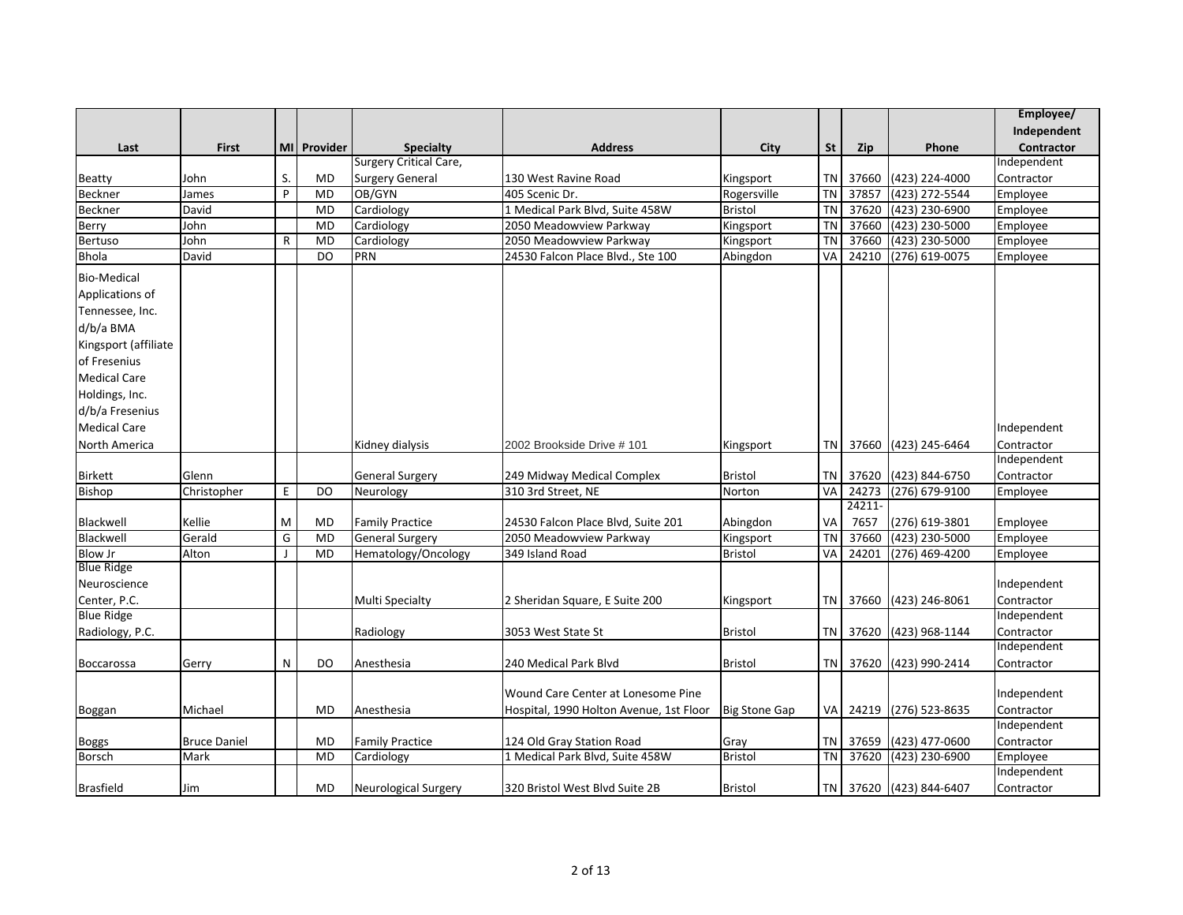|                      |                     |              |             |                        |                                         |                      |           |            |                         | Employee/   |
|----------------------|---------------------|--------------|-------------|------------------------|-----------------------------------------|----------------------|-----------|------------|-------------------------|-------------|
|                      |                     |              |             |                        |                                         |                      |           |            |                         | Independent |
| Last                 | <b>First</b>        |              | MI Provider | <b>Specialty</b>       | <b>Address</b>                          | City                 | <b>St</b> | <b>Zip</b> | Phone                   | Contractor  |
|                      |                     |              |             | Surgery Critical Care, |                                         |                      |           |            |                         | Independent |
| <b>Beatty</b>        | John                | S.           | <b>MD</b>   | <b>Surgery General</b> | 130 West Ravine Road                    | Kingsport            |           | TN 37660   | (423) 224-4000          | Contractor  |
| Beckner              | James               | P            | <b>MD</b>   | OB/GYN                 | 405 Scenic Dr.                          | Rogersville          | <b>TN</b> | 37857      | (423) 272-5544          | Employee    |
| Beckner              | David               |              | <b>MD</b>   | Cardiology             | 1 Medical Park Blvd, Suite 458W         | <b>Bristol</b>       | <b>TN</b> | 37620      | (423) 230-6900          | Employee    |
| Berry                | John                |              | MD          | Cardiology             | 2050 Meadowview Parkway                 | Kingsport            | <b>TN</b> | 37660      | (423) 230-5000          | Employee    |
| <b>Bertuso</b>       | John                | $\mathsf{R}$ | <b>MD</b>   | Cardiology             | 2050 Meadowview Parkway                 | Kingsport            | <b>TN</b> | 37660      | (423) 230-5000          | Employee    |
| <b>Bhola</b>         | David               |              | DO          | PRN                    | 24530 Falcon Place Blvd., Ste 100       | Abingdon             | VA        | 24210      | $(276) 619 - 0075$      | Employee    |
| <b>Bio-Medical</b>   |                     |              |             |                        |                                         |                      |           |            |                         |             |
| Applications of      |                     |              |             |                        |                                         |                      |           |            |                         |             |
| Tennessee, Inc.      |                     |              |             |                        |                                         |                      |           |            |                         |             |
| d/b/a BMA            |                     |              |             |                        |                                         |                      |           |            |                         |             |
| Kingsport (affiliate |                     |              |             |                        |                                         |                      |           |            |                         |             |
| of Fresenius         |                     |              |             |                        |                                         |                      |           |            |                         |             |
| <b>Medical Care</b>  |                     |              |             |                        |                                         |                      |           |            |                         |             |
|                      |                     |              |             |                        |                                         |                      |           |            |                         |             |
| Holdings, Inc.       |                     |              |             |                        |                                         |                      |           |            |                         |             |
| d/b/a Fresenius      |                     |              |             |                        |                                         |                      |           |            |                         |             |
| <b>Medical Care</b>  |                     |              |             |                        |                                         |                      |           |            |                         | Independent |
| North America        |                     |              |             | Kidney dialysis        | 2002 Brookside Drive # 101              | Kingsport            | TN I      |            | 37660 (423) 245-6464    | Contractor  |
|                      |                     |              |             |                        |                                         |                      |           |            |                         | Independent |
| <b>Birkett</b>       | Glenn               |              |             | <b>General Surgery</b> | 249 Midway Medical Complex              | <b>Bristol</b>       | TN        | 37620      | (423) 844-6750          | Contractor  |
| <b>Bishop</b>        | Christopher         | E            | DO          | Neurology              | 310 3rd Street, NE                      | Norton               | <b>VA</b> | 24273      | (276) 679-9100          | Employee    |
|                      |                     |              |             |                        |                                         |                      |           | 24211-     |                         |             |
| Blackwell            | Kellie              | M            | MD          | <b>Family Practice</b> | 24530 Falcon Place Blvd, Suite 201      | Abingdon             | VA        | 7657       | (276) 619-3801          | Employee    |
| Blackwell            | Gerald              | G            | <b>MD</b>   | <b>General Surgery</b> | 2050 Meadowview Parkway                 | Kingsport            | <b>TN</b> | 37660      | (423) 230-5000          | Employee    |
| <b>Blow Jr</b>       | Alton               | $\mathbf{I}$ | <b>MD</b>   | Hematology/Oncology    | 349 Island Road                         | <b>Bristol</b>       | VA        | 24201      | (276) 469-4200          | Employee    |
| <b>Blue Ridge</b>    |                     |              |             |                        |                                         |                      |           |            |                         |             |
| Neuroscience         |                     |              |             |                        |                                         |                      |           |            |                         | Independent |
| Center, P.C.         |                     |              |             | <b>Multi Specialty</b> | 2 Sheridan Square, E Suite 200          | Kingsport            |           | TN 37660   | (423) 246-8061          | Contractor  |
| <b>Blue Ridge</b>    |                     |              |             |                        |                                         |                      |           |            |                         | Independent |
| Radiology, P.C.      |                     |              |             | Radiology              | 3053 West State St                      | <b>Bristol</b>       | TN        | 37620      | (423) 968-1144          | Contractor  |
|                      |                     |              |             |                        |                                         |                      |           |            |                         | Independent |
| Boccarossa           | Gerry               | N            | DO          | Anesthesia             | 240 Medical Park Blvd                   | <b>Bristol</b>       |           |            | TN 37620 (423) 990-2414 | Contractor  |
|                      |                     |              |             |                        | Wound Care Center at Lonesome Pine      |                      |           |            |                         | Independent |
|                      |                     |              |             |                        |                                         |                      |           |            |                         |             |
| Boggan               | Michael             |              | MD          | Anesthesia             | Hospital, 1990 Holton Avenue, 1st Floor | <b>Big Stone Gap</b> | VA I      | 24219      | $(276)$ 523-8635        | Contractor  |
|                      |                     |              |             |                        |                                         |                      |           |            |                         | Independent |
| <b>Boggs</b>         | <b>Bruce Daniel</b> |              | <b>MD</b>   | <b>Family Practice</b> | 124 Old Gray Station Road               | Gray                 |           | TN 37659   | (423) 477-0600          | Contractor  |
| Borsch               | Mark                |              | <b>MD</b>   | Cardiology             | 1 Medical Park Blvd, Suite 458W         | <b>Bristol</b>       | TN I      | 37620      | (423) 230-6900          | Employee    |
|                      |                     |              |             |                        |                                         |                      |           |            |                         | Independent |
| <b>Brasfield</b>     | Jim                 |              | <b>MD</b>   | Neurological Surgery   | 320 Bristol West Blvd Suite 2B          | <b>Bristol</b>       |           |            | TN 37620 (423) 844-6407 | Contractor  |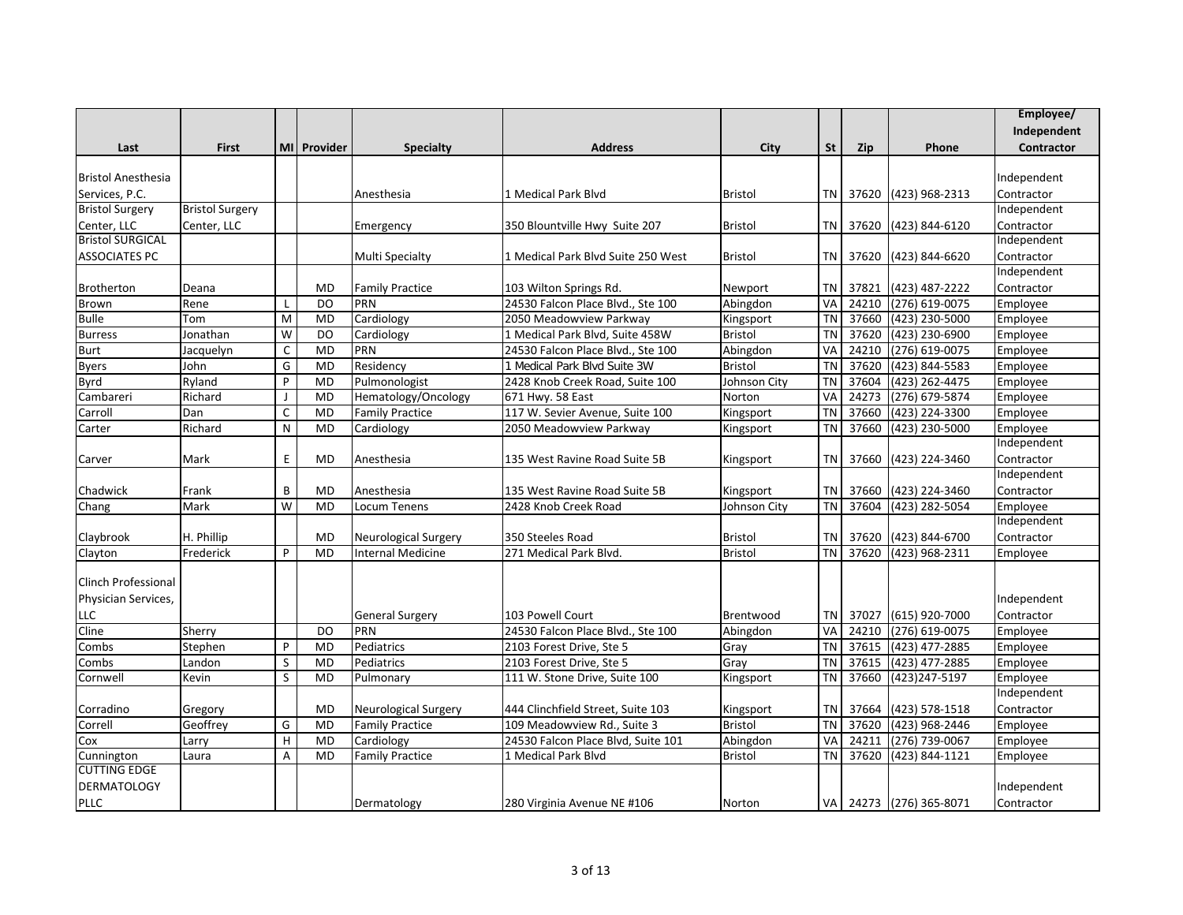|                            |                        |                |             |                          |                                    |                |           |            |                         | Employee/   |
|----------------------------|------------------------|----------------|-------------|--------------------------|------------------------------------|----------------|-----------|------------|-------------------------|-------------|
|                            |                        |                |             |                          |                                    |                |           |            |                         | Independent |
| Last                       | <b>First</b>           |                | MI Provider | <b>Specialty</b>         | <b>Address</b>                     | City           | <b>St</b> | <b>Zip</b> | Phone                   | Contractor  |
|                            |                        |                |             |                          |                                    |                |           |            |                         |             |
| <b>Bristol Anesthesia</b>  |                        |                |             |                          |                                    |                |           |            |                         | Independent |
| Services, P.C.             |                        |                |             | Anesthesia               | 1 Medical Park Blvd                | <b>Bristol</b> | TN        |            | 37620 (423) 968-2313    | Contractor  |
| <b>Bristol Surgery</b>     | <b>Bristol Surgery</b> |                |             |                          |                                    |                |           |            |                         | Independent |
| Center, LLC                | Center, LLC            |                |             | Emergency                | 350 Blountville Hwy Suite 207      | <b>Bristol</b> | <b>TN</b> | 37620      | (423) 844-6120          | Contractor  |
| <b>Bristol SURGICAL</b>    |                        |                |             |                          |                                    |                |           |            |                         | Independent |
| <b>ASSOCIATES PC</b>       |                        |                |             | Multi Specialty          | 1 Medical Park Blvd Suite 250 West | <b>Bristol</b> | TN        | 37620      | (423) 844-6620          | Contractor  |
|                            |                        |                |             |                          |                                    |                |           |            |                         | Independent |
| Brotherton                 | Deana                  |                | <b>MD</b>   | <b>Family Practice</b>   | 103 Wilton Springs Rd.             | Newport        | TN        | 37821      | (423) 487-2222          | Contractor  |
| Brown                      | Rene                   | L              | <b>DO</b>   | PRN                      | 24530 Falcon Place Blvd., Ste 100  | Abingdon       | VA        | 24210      | (276) 619-0075          | Employee    |
| <b>Bulle</b>               | Tom                    | M              | <b>MD</b>   | Cardiology               | 2050 Meadowview Parkway            | Kingsport      | <b>TN</b> | 37660      | (423) 230-5000          | Employee    |
| <b>Burress</b>             | Jonathan               | W              | DO          | Cardiology               | 1 Medical Park Blvd, Suite 458W    | <b>Bristol</b> | <b>TN</b> | 37620      | (423) 230-6900          | Employee    |
| <b>Burt</b>                | Jacquelyn              | $\mathsf C$    | <b>MD</b>   | PRN                      | 24530 Falcon Place Blvd., Ste 100  | Abingdon       | VA        | 24210      | (276) 619-0075          | Employee    |
| <b>Byers</b>               | John                   | G              | <b>MD</b>   | Residency                | 1 Medical Park Blvd Suite 3W       | <b>Bristol</b> | <b>TN</b> | 37620      | (423) 844-5583          | Employee    |
| Byrd                       | Ryland                 | P              | <b>MD</b>   | Pulmonologist            | 2428 Knob Creek Road, Suite 100    | Johnson City   | <b>TN</b> | 37604      | (423) 262-4475          | Employee    |
| Cambareri                  | Richard                | J              | <b>MD</b>   | Hematology/Oncology      | 671 Hwy. 58 East                   | Norton         | VA        | 24273      | $(276)$ 679-5874        | Employee    |
| Carroll                    | Dan                    | C              | <b>MD</b>   | <b>Family Practice</b>   | 117 W. Sevier Avenue, Suite 100    | Kingsport      | <b>TN</b> | 37660      | (423) 224-3300          | Employee    |
| Carter                     | Richard                | N              | <b>MD</b>   | Cardiology               | 2050 Meadowview Parkway            | Kingsport      | <b>TN</b> | 37660      | (423) 230-5000          | Employee    |
|                            |                        |                |             |                          |                                    |                |           |            |                         | Independent |
| Carver                     | Mark                   | E              | <b>MD</b>   | Anesthesia               | 135 West Ravine Road Suite 5B      | Kingsport      | TN        | 37660      | (423) 224-3460          | Contractor  |
|                            |                        |                |             |                          |                                    |                |           |            |                         | Independent |
| Chadwick                   | Frank                  | B              | <b>MD</b>   | Anesthesia               | 135 West Ravine Road Suite 5B      | Kingsport      | <b>TN</b> | 37660      | (423) 224-3460          | Contractor  |
| Chang                      | Mark                   | W              | <b>MD</b>   | Locum Tenens             | 2428 Knob Creek Road               | Johnson City   | <b>TN</b> | 37604      | (423) 282-5054          | Employee    |
|                            |                        |                |             |                          |                                    |                |           |            |                         | Independent |
| Claybrook                  | H. Phillip             |                | <b>MD</b>   | Neurological Surgery     | 350 Steeles Road                   | <b>Bristol</b> | TN I      | 37620      | (423) 844-6700          | Contractor  |
| Clayton                    | Frederick              | P              | <b>MD</b>   | <b>Internal Medicine</b> | 271 Medical Park Blvd.             | Bristol        | TN        | 37620      | (423) 968-2311          | Employee    |
|                            |                        |                |             |                          |                                    |                |           |            |                         |             |
| <b>Clinch Professional</b> |                        |                |             |                          |                                    |                |           |            |                         |             |
| Physician Services,        |                        |                |             |                          |                                    |                |           |            |                         | Independent |
| <b>LLC</b>                 |                        |                |             | <b>General Surgery</b>   | 103 Powell Court                   | Brentwood      | <b>TN</b> | 37027      | (615) 920-7000          | Contractor  |
| Cline                      | Sherry                 |                | DO          | PRN                      | 24530 Falcon Place Blvd., Ste 100  | Abingdon       | VA        | 24210      | (276) 619-0075          | Employee    |
| Combs                      | Stephen                | P              | <b>MD</b>   | Pediatrics               | 2103 Forest Drive, Ste 5           | Gray           | <b>TN</b> | 37615      | (423) 477-2885          | Employee    |
| Combs                      | Landon                 | S              | <b>MD</b>   | Pediatrics               | 2103 Forest Drive, Ste 5           | Gray           | <b>TN</b> | 37615      | (423) 477-2885          | Employee    |
| Cornwell                   | Kevin                  | S              | <b>MD</b>   | Pulmonary                | 111 W. Stone Drive, Suite 100      | Kingsport      | <b>TN</b> | 37660      | (423) 247-5197          | Employee    |
|                            |                        |                |             |                          |                                    |                |           |            |                         | Independent |
| Corradino                  | Gregory                |                | <b>MD</b>   | Neurological Surgery     | 444 Clinchfield Street, Suite 103  | Kingsport      | TN        | 37664      | (423) 578-1518          | Contractor  |
| Correll                    | Geoffrey               | G              | <b>MD</b>   | <b>Family Practice</b>   | 109 Meadowview Rd., Suite 3        | <b>Bristol</b> | <b>TN</b> | 37620      | (423) 968-2446          | Employee    |
| Cox                        | Larry                  | H              | <b>MD</b>   | Cardiology               | 24530 Falcon Place Blvd, Suite 101 | Abingdon       | VA        | 24211      | (276) 739-0067          | Employee    |
| Cunnington                 | Laura                  | $\overline{A}$ | <b>MD</b>   | <b>Family Practice</b>   | 1 Medical Park Blvd                | <b>Bristol</b> | <b>TN</b> | 37620      | (423) 844-1121          | Employee    |
| <b>CUTTING EDGE</b>        |                        |                |             |                          |                                    |                |           |            |                         |             |
| <b>DERMATOLOGY</b>         |                        |                |             |                          |                                    |                |           |            |                         | Independent |
| <b>PLLC</b>                |                        |                |             | Dermatology              | 280 Virginia Avenue NE #106        | Norton         |           |            | VA 24273 (276) 365-8071 | Contractor  |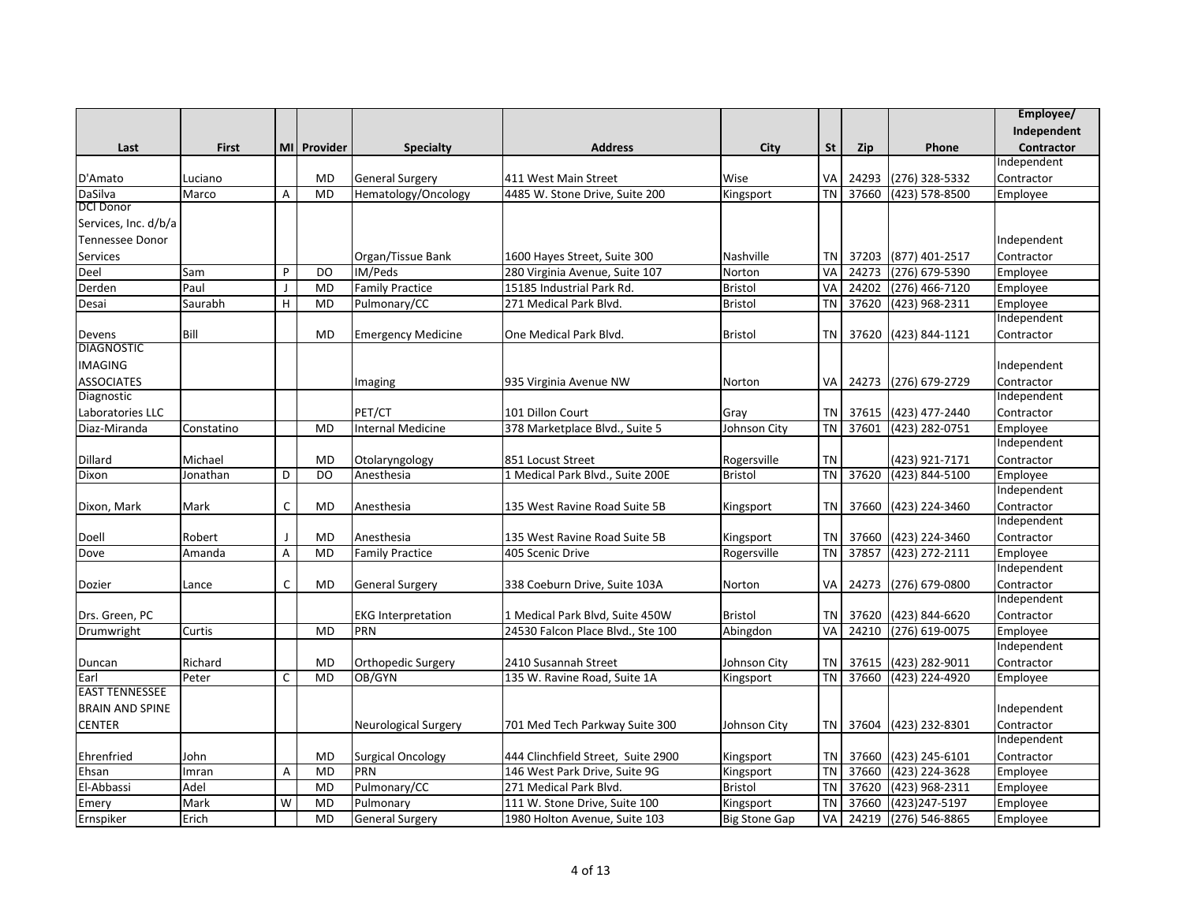|                                  |              |              |             |                           |                                                       |                               |           |            |                      | Employee/                 |
|----------------------------------|--------------|--------------|-------------|---------------------------|-------------------------------------------------------|-------------------------------|-----------|------------|----------------------|---------------------------|
|                                  |              |              |             |                           |                                                       |                               |           |            |                      | Independent               |
| Last                             | <b>First</b> |              | MI Provider | <b>Specialty</b>          | <b>Address</b>                                        | City                          | <b>St</b> | <b>Zip</b> | Phone                | <b>Contractor</b>         |
|                                  |              |              |             |                           |                                                       |                               |           |            |                      | Independent               |
| D'Amato                          | Luciano      |              | <b>MD</b>   | <b>General Surgery</b>    | 411 West Main Street                                  | Wise                          | VA        | 24293      | (276) 328-5332       | Contractor                |
| DaSilva                          | Marco        | A            | <b>MD</b>   | Hematology/Oncology       | 4485 W. Stone Drive, Suite 200                        | Kingsport                     | <b>TN</b> | 37660      | (423) 578-8500       | Employee                  |
| <b>DCI Donor</b>                 |              |              |             |                           |                                                       |                               |           |            |                      |                           |
| Services, Inc. d/b/a             |              |              |             |                           |                                                       |                               |           |            |                      |                           |
| Tennessee Donor                  |              |              |             |                           |                                                       |                               |           |            |                      | Independent               |
| Services                         |              |              |             | Organ/Tissue Bank         | 1600 Hayes Street, Suite 300                          | Nashville                     | TN        | 37203      | (877) 401-2517       | Contractor                |
| Deel                             | Sam          | P            | <b>DO</b>   | IM/Peds                   | 280 Virginia Avenue, Suite 107                        | Norton                        | VA        | 24273      | (276) 679-5390       | Employee                  |
| Derden                           | Paul         | J            | <b>MD</b>   | <b>Family Practice</b>    | 15185 Industrial Park Rd.                             | <b>Bristol</b>                | VA        | 24202      | $(276)$ 466-7120     | Employee                  |
| Desai                            | Saurabh      | H            | <b>MD</b>   | Pulmonary/CC              | 271 Medical Park Blvd.                                | <b>Bristol</b>                | <b>TN</b> | 37620      | (423) 968-2311       | Employee                  |
|                                  |              |              |             |                           |                                                       |                               |           |            |                      | Independent               |
| Devens                           | Bill         |              | <b>MD</b>   | <b>Emergency Medicine</b> | One Medical Park Blvd.                                | <b>Bristol</b>                |           | TN 37620   | (423) 844-1121       | Contractor                |
| <b>DIAGNOSTIC</b>                |              |              |             |                           |                                                       |                               |           |            |                      |                           |
| <b>IMAGING</b>                   |              |              |             |                           |                                                       |                               |           |            |                      | Independent               |
| <b>ASSOCIATES</b>                |              |              |             |                           |                                                       | Norton                        | VA        |            | 24273 (276) 679-2729 | Contractor                |
| Diagnostic                       |              |              |             | Imaging                   | 935 Virginia Avenue NW                                |                               |           |            |                      | Independent               |
|                                  |              |              |             | PET/CT                    | 101 Dillon Court                                      |                               | <b>TN</b> |            | 37615 (423) 477-2440 | Contractor                |
| Laboratories LLC<br>Diaz-Miranda | Constatino   |              | <b>MD</b>   | <b>Internal Medicine</b>  | 378 Marketplace Blvd., Suite 5                        | Gray<br>Johnson City          | <b>TN</b> | 37601      | (423) 282-0751       | Employee                  |
|                                  |              |              |             |                           |                                                       |                               |           |            |                      | Independent               |
| Dillard                          | Michael      |              | MD          | Otolaryngology            |                                                       |                               | <b>TN</b> |            | (423) 921-7171       | Contractor                |
|                                  |              | D            | DO          |                           | 851 Locust Street<br>1 Medical Park Blvd., Suite 200E | Rogersville<br><b>Bristol</b> |           | TN 37620   | (423) 844-5100       |                           |
| Dixon                            | Jonathan     |              |             | Anesthesia                |                                                       |                               |           |            |                      | Employee<br>Independent   |
|                                  |              | $\mathsf{C}$ |             |                           |                                                       |                               |           |            |                      |                           |
| Dixon, Mark                      | Mark         |              | <b>MD</b>   | Anesthesia                | 135 West Ravine Road Suite 5B                         | Kingsport                     | TN        | 37660      | (423) 224-3460       | Contractor<br>Independent |
|                                  |              | $\mathbf{J}$ | <b>MD</b>   | Anesthesia                |                                                       |                               | <b>TN</b> | 37660      | (423) 224-3460       |                           |
| Doell<br>Dove                    | Robert       | A            | <b>MD</b>   | Family Practice           | 135 West Ravine Road Suite 5B<br>405 Scenic Drive     | Kingsport                     | <b>TN</b> | 37857      | (423) 272-2111       | Contractor                |
|                                  | Amanda       |              |             |                           |                                                       | Rogersville                   |           |            |                      | Employee<br>Independent   |
|                                  |              | C            | <b>MD</b>   | <b>General Surgery</b>    |                                                       |                               | VA        | 24273      |                      |                           |
| Dozier                           | Lance        |              |             |                           | 338 Coeburn Drive, Suite 103A                         | Norton                        |           |            | (276) 679-0800       | Contractor<br>Independent |
| Drs. Green, PC                   |              |              |             | <b>EKG Interpretation</b> | 1 Medical Park Blvd, Suite 450W                       | <b>Bristol</b>                | <b>TN</b> | 37620      | (423) 844-6620       | Contractor                |
| Drumwright                       | Curtis       |              | <b>MD</b>   | PRN                       | 24530 Falcon Place Blvd., Ste 100                     |                               | VA        | 24210      | (276) 619-0075       | Employee                  |
|                                  |              |              |             |                           |                                                       | Abingdon                      |           |            |                      | Independent               |
|                                  | Richard      |              | MD          | Orthopedic Surgery        | 2410 Susannah Street                                  |                               | <b>TN</b> | 37615      | (423) 282-9011       |                           |
| Duncan<br>Earl                   | Peter        | C            | <b>MD</b>   | OB/GYN                    | 135 W. Ravine Road, Suite 1A                          | Johnson City                  | <b>TN</b> | 37660      | (423) 224-4920       | Contractor                |
| <b>EAST TENNESSEE</b>            |              |              |             |                           |                                                       | Kingsport                     |           |            |                      | Employee                  |
| <b>BRAIN AND SPINE</b>           |              |              |             |                           |                                                       |                               |           |            |                      | Independent               |
|                                  |              |              |             |                           |                                                       |                               |           |            |                      |                           |
| <b>CENTER</b>                    |              |              |             | Neurological Surgery      | 701 Med Tech Parkway Suite 300                        | Johnson City                  |           | TN 37604   | (423) 232-8301       | Contractor<br>Independent |
|                                  |              |              |             |                           |                                                       |                               |           |            |                      |                           |
| Ehrenfried                       | John         |              | <b>MD</b>   | <b>Surgical Oncology</b>  | 444 Clinchfield Street, Suite 2900                    | Kingsport                     | <b>TN</b> | 37660      | (423) 245-6101       | Contractor                |
| Ehsan                            | Imran        | A            | <b>MD</b>   | PRN                       | 146 West Park Drive, Suite 9G                         | Kingsport                     | <b>TN</b> | 37660      | (423) 224-3628       | Employee                  |
| El-Abbassi                       | Adel         |              | <b>MD</b>   | Pulmonary/CC              | 271 Medical Park Blvd.                                | Bristol                       | <b>TN</b> | 37620      | (423) 968-2311       | Employee                  |
| Emery                            | Mark         | W            | <b>MD</b>   | Pulmonary                 | 111 W. Stone Drive, Suite 100                         | Kingsport                     | <b>TN</b> | 37660      | (423) 247-5197       | Employee                  |
| Ernspiker                        | Erich        |              | <b>MD</b>   | <b>General Surgery</b>    | 1980 Holton Avenue, Suite 103                         | <b>Big Stone Gap</b>          | VA        | 24219      | $(276) 546 - 8865$   | Employee                  |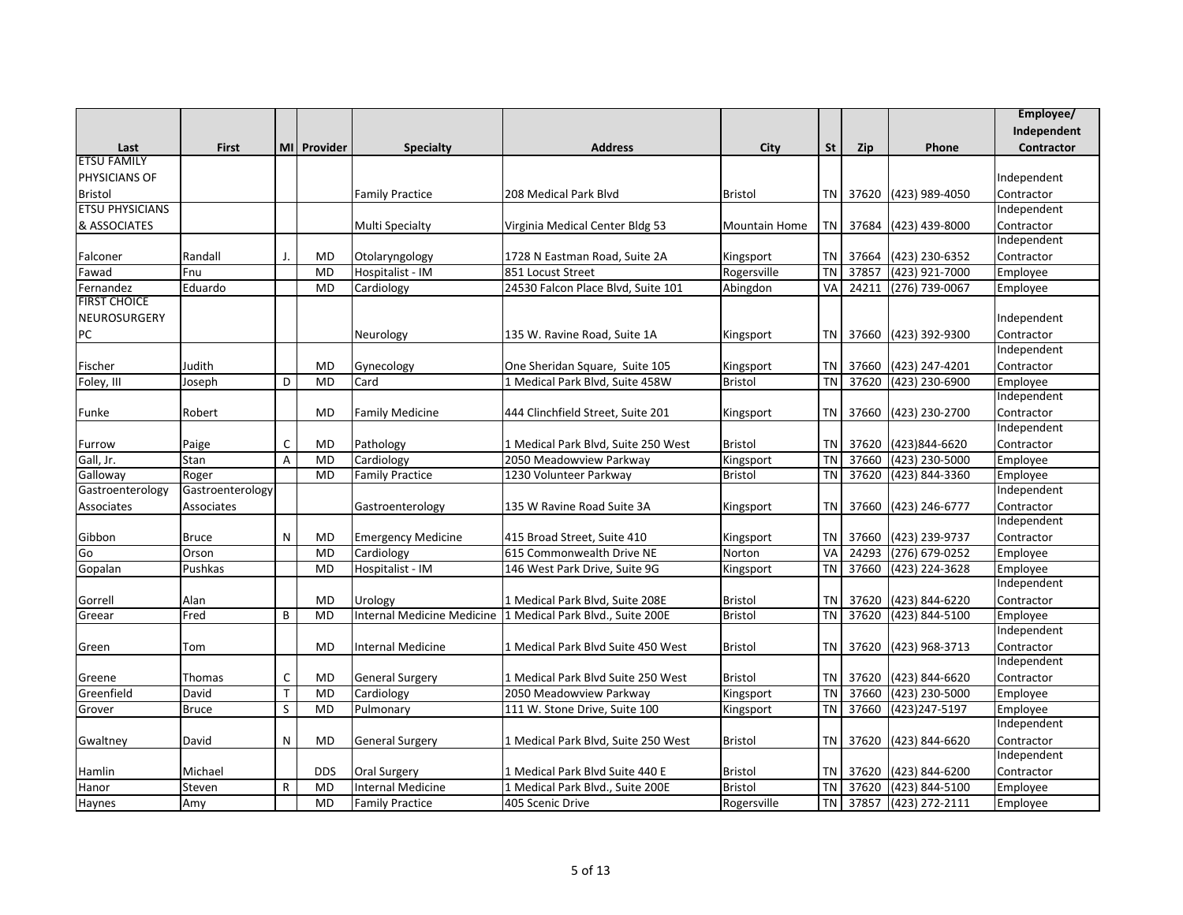|                        |                  |              |             |                           |                                                             |                      |           |       |                  | Employee/   |
|------------------------|------------------|--------------|-------------|---------------------------|-------------------------------------------------------------|----------------------|-----------|-------|------------------|-------------|
|                        |                  |              |             |                           |                                                             |                      |           |       |                  | Independent |
| Last                   | <b>First</b>     |              | MI Provider | Specialty                 | <b>Address</b>                                              | City                 | <b>St</b> | Zip   | Phone            | Contractor  |
| <b>ETSU FAMILY</b>     |                  |              |             |                           |                                                             |                      |           |       |                  |             |
| PHYSICIANS OF          |                  |              |             |                           |                                                             |                      |           |       |                  | Independent |
| <b>Bristol</b>         |                  |              |             | <b>Family Practice</b>    | 208 Medical Park Blvd                                       | <b>Bristol</b>       | <b>TN</b> | 37620 | (423) 989-4050   | Contractor  |
| <b>ETSU PHYSICIANS</b> |                  |              |             |                           |                                                             |                      |           |       |                  | Independent |
| & ASSOCIATES           |                  |              |             | <b>Multi Specialty</b>    | Virginia Medical Center Bldg 53                             | <b>Mountain Home</b> | ΤN        | 37684 | (423) 439-8000   | Contractor  |
|                        |                  |              |             |                           |                                                             |                      |           |       |                  | Independent |
| Falconer               | Randall          |              | <b>MD</b>   | Otolaryngology            | 1728 N Eastman Road, Suite 2A                               | Kingsport            | <b>TN</b> | 37664 | (423) 230-6352   | Contractor  |
| Fawad                  | Fnu              |              | <b>MD</b>   | Hospitalist - IM          | 851 Locust Street                                           | Rogersville          | <b>TN</b> | 37857 | (423) 921-7000   | Employee    |
| Fernandez              | Eduardo          |              | <b>MD</b>   | Cardiology                | 24530 Falcon Place Blvd, Suite 101                          | Abingdon             | VA        | 24211 | (276) 739-0067   | Employee    |
| <b>FIRST CHOICE</b>    |                  |              |             |                           |                                                             |                      |           |       |                  |             |
| NEUROSURGERY           |                  |              |             |                           |                                                             |                      |           |       |                  | Independent |
| PC                     |                  |              |             | Neurology                 | 135 W. Ravine Road, Suite 1A                                | Kingsport            | ΤN        | 37660 | (423) 392-9300   | Contractor  |
|                        |                  |              |             |                           |                                                             |                      |           |       |                  | Independent |
| Fischer                | Judith           |              | <b>MD</b>   | Gynecology                | One Sheridan Square, Suite 105                              | Kingsport            | <b>TN</b> | 37660 | (423) 247-4201   | Contractor  |
| Foley, III             | Joseph           | D            | <b>MD</b>   | Card                      | 1 Medical Park Blvd, Suite 458W                             | <b>Bristol</b>       | <b>TN</b> | 37620 | (423) 230-6900   | Employee    |
|                        |                  |              |             |                           |                                                             |                      |           |       |                  | Independent |
| Funke                  | Robert           |              | MD          | <b>Family Medicine</b>    | 444 Clinchfield Street, Suite 201                           | Kingsport            | <b>TN</b> | 37660 | (423) 230-2700   | Contractor  |
|                        |                  |              |             |                           |                                                             |                      |           |       |                  | Independent |
| Furrow                 | Paige            | C            | <b>MD</b>   | Pathology                 | 1 Medical Park Blvd, Suite 250 West                         | <b>Bristol</b>       | TN        | 37620 | (423)844-6620    | Contractor  |
| Gall, Jr.              | Stan             | A            | <b>MD</b>   | Cardiology                | 2050 Meadowview Parkway                                     | Kingsport            | <b>TN</b> | 37660 | (423) 230-5000   | Employee    |
| Galloway               | Roger            |              | <b>MD</b>   | <b>Family Practice</b>    | 1230 Volunteer Parkway                                      | <b>Bristol</b>       | <b>TN</b> | 37620 | (423) 844-3360   | Employee    |
| Gastroenterology       | Gastroenterology |              |             |                           |                                                             |                      |           |       |                  | Independent |
| Associates             | Associates       |              |             | Gastroenterology          | 135 W Ravine Road Suite 3A                                  | Kingsport            | TN        | 37660 | (423) 246-6777   | Contractor  |
|                        |                  |              |             |                           |                                                             |                      |           |       |                  | Independent |
| Gibbon                 | <b>Bruce</b>     | N            | <b>MD</b>   | <b>Emergency Medicine</b> | 415 Broad Street, Suite 410                                 | Kingsport            | <b>TN</b> | 37660 | (423) 239-9737   | Contractor  |
| Go                     | Orson            |              | <b>MD</b>   | Cardiology                | 615 Commonwealth Drive NE                                   | Norton               | VA        | 24293 | (276) 679-0252   | Employee    |
| Gopalan                | Pushkas          |              | <b>MD</b>   | Hospitalist - IM          | 146 West Park Drive, Suite 9G                               | Kingsport            | <b>TN</b> | 37660 | (423) 224-3628   | Employee    |
|                        |                  |              |             |                           |                                                             |                      |           |       |                  | Independent |
| Gorrell                | Alan             |              | <b>MD</b>   | Urology                   | 1 Medical Park Blvd, Suite 208E                             | <b>Bristol</b>       | <b>TN</b> | 37620 | (423) 844-6220   | Contractor  |
| Greear                 | Fred             | B            | <b>MD</b>   |                           | Internal Medicine Medicine 1 Medical Park Blvd., Suite 200E | <b>Bristol</b>       | <b>TN</b> | 37620 | (423) 844-5100   | Employee    |
|                        |                  |              |             |                           |                                                             |                      |           |       |                  | Independent |
| Green                  | Tom              |              | <b>MD</b>   | Internal Medicine         | 1 Medical Park Blvd Suite 450 West                          | <b>Bristol</b>       | TN        | 37620 | (423) 968-3713   | Contractor  |
|                        |                  |              |             |                           |                                                             |                      |           |       |                  | Independent |
| Greene                 | Thomas           | C            | <b>MD</b>   | <b>General Surgery</b>    | 1 Medical Park Blvd Suite 250 West                          | <b>Bristol</b>       | <b>TN</b> | 37620 | (423) 844-6620   | Contractor  |
| Greenfield             | David            | $\mathsf T$  | <b>MD</b>   | Cardiology                | 2050 Meadowview Parkway                                     | Kingsport            | <b>TN</b> | 37660 | $(423)$ 230-5000 | Employee    |
| Grover                 | <b>Bruce</b>     | S            | <b>MD</b>   | Pulmonary                 | 111 W. Stone Drive, Suite 100                               | Kingsport            | <b>TN</b> | 37660 | (423) 247-5197   | Employee    |
|                        |                  |              |             |                           |                                                             |                      |           |       |                  | Independent |
| Gwaltney               | David            | N            | <b>MD</b>   | <b>General Surgery</b>    | 1 Medical Park Blvd, Suite 250 West                         | <b>Bristol</b>       | TN        | 37620 | (423) 844-6620   | Contractor  |
|                        |                  |              |             |                           |                                                             |                      |           |       |                  | Independent |
| Hamlin                 | Michael          |              | <b>DDS</b>  | Oral Surgery              | 1 Medical Park Blvd Suite 440 E                             | <b>Bristol</b>       | <b>TN</b> | 37620 | (423) 844-6200   | Contractor  |
| Hanor                  | Steven           | $\mathsf{R}$ | <b>MD</b>   | Internal Medicine         | 1 Medical Park Blvd., Suite 200E                            | Bristol              | <b>TN</b> | 37620 | (423) 844-5100   | Employee    |
| Haynes                 | Amy              |              | <b>MD</b>   | <b>Family Practice</b>    | 405 Scenic Drive                                            | Rogersville          | <b>TN</b> | 37857 | (423) 272-2111   | Employee    |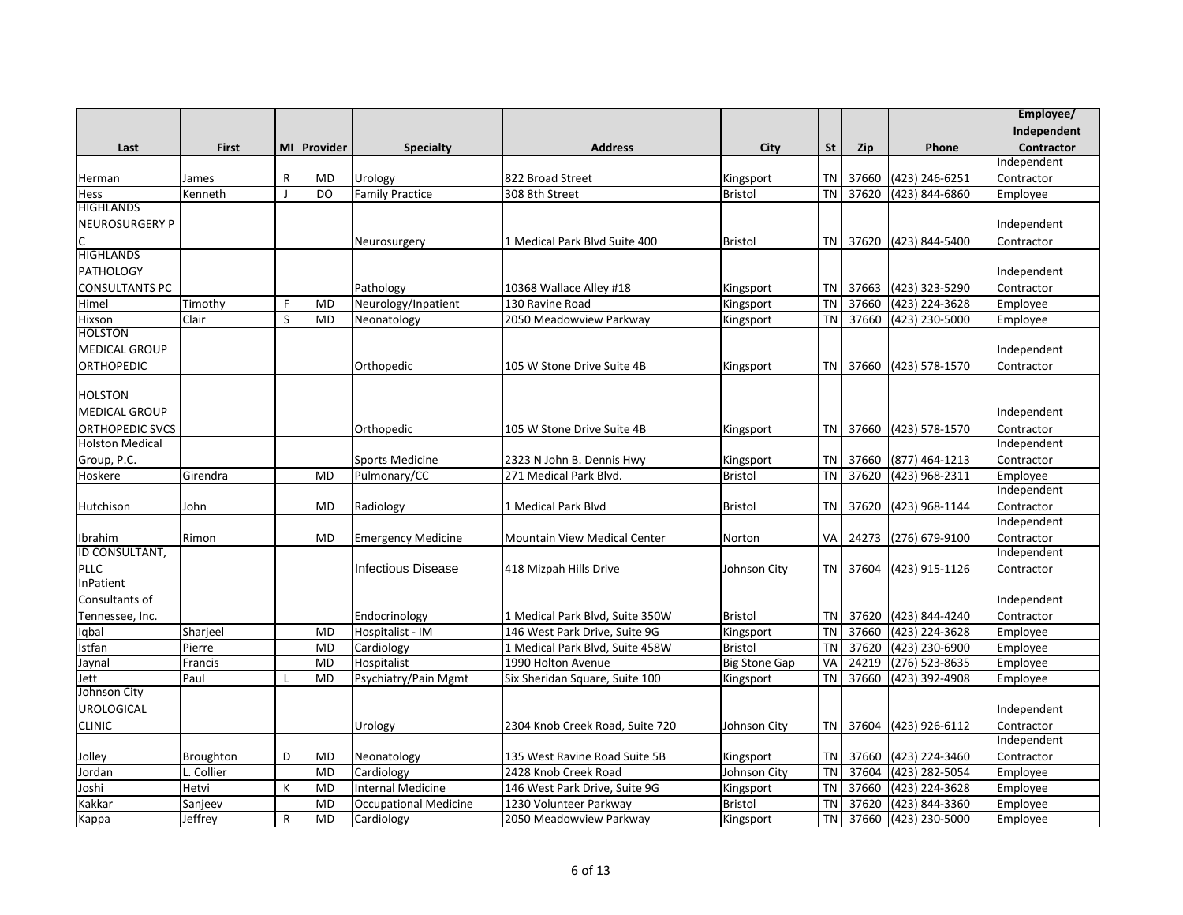|                        |            |                |             |                              |                                     |                      |           |            |                         | Employee/         |
|------------------------|------------|----------------|-------------|------------------------------|-------------------------------------|----------------------|-----------|------------|-------------------------|-------------------|
|                        |            |                |             |                              |                                     |                      |           |            |                         | Independent       |
| Last                   | First      |                | MI Provider | <b>Specialty</b>             | <b>Address</b>                      | City                 | <b>St</b> | <b>Zip</b> | Phone                   | <b>Contractor</b> |
|                        |            |                |             |                              |                                     |                      |           |            |                         | Independent       |
| Herman                 | James      | $\mathsf{R}$   | <b>MD</b>   | Urology                      | 822 Broad Street                    | Kingsport            | <b>TN</b> | 37660      | (423) 246-6251          | Contractor        |
| Hess                   | Kenneth    | $\blacksquare$ | DO          | <b>Family Practice</b>       | 308 8th Street                      | <b>Bristol</b>       | <b>TN</b> | 37620      | (423) 844-6860          | Employee          |
| <b>HIGHLANDS</b>       |            |                |             |                              |                                     |                      |           |            |                         |                   |
| <b>NEUROSURGERY P</b>  |            |                |             |                              |                                     |                      |           |            |                         | Independent       |
|                        |            |                |             | Neurosurgery                 | 1 Medical Park Blvd Suite 400       | <b>Bristol</b>       | <b>TN</b> | 37620      | (423) 844-5400          | Contractor        |
| <b>HIGHLANDS</b>       |            |                |             |                              |                                     |                      |           |            |                         |                   |
| <b>PATHOLOGY</b>       |            |                |             |                              |                                     |                      |           |            |                         | Independent       |
| <b>CONSULTANTS PC</b>  |            |                |             | Pathology                    | 10368 Wallace Alley #18             | Kingsport            | TN        | 37663      | (423) 323-5290          | Contractor        |
| Himel                  | Timothy    | F              | MD          | Neurology/Inpatient          | 130 Ravine Road                     | Kingsport            | <b>TN</b> | 37660      | (423) 224-3628          | Employee          |
| Hixson                 | Clair      | S              | <b>MD</b>   | Neonatology                  | 2050 Meadowview Parkway             | Kingsport            | <b>TN</b> | 37660      | (423) 230-5000          | Employee          |
| <b>HOLSTON</b>         |            |                |             |                              |                                     |                      |           |            |                         |                   |
| <b>MEDICAL GROUP</b>   |            |                |             |                              |                                     |                      |           |            |                         | Independent       |
| <b>ORTHOPEDIC</b>      |            |                |             | Orthopedic                   | 105 W Stone Drive Suite 4B          | Kingsport            |           |            | TN 37660 (423) 578-1570 | Contractor        |
|                        |            |                |             |                              |                                     |                      |           |            |                         |                   |
| <b>HOLSTON</b>         |            |                |             |                              |                                     |                      |           |            |                         |                   |
| <b>MEDICAL GROUP</b>   |            |                |             |                              |                                     |                      |           |            |                         | Independent       |
| <b>ORTHOPEDIC SVCS</b> |            |                |             | Orthopedic                   | 105 W Stone Drive Suite 4B          | Kingsport            |           |            | TN 37660 (423) 578-1570 | Contractor        |
| <b>Holston Medical</b> |            |                |             |                              |                                     |                      |           |            |                         | Independent       |
| Group, P.C.            |            |                |             | <b>Sports Medicine</b>       | 2323 N John B. Dennis Hwy           | Kingsport            | TN        | 37660      | (877) 464-1213          | Contractor        |
| Hoskere                | Girendra   |                | <b>MD</b>   | Pulmonary/CC                 | 271 Medical Park Blvd.              | <b>Bristol</b>       | <b>TN</b> | 37620      | (423) 968-2311          | Employee          |
|                        |            |                |             |                              |                                     |                      |           |            |                         | Independent       |
| Hutchison              | John       |                | <b>MD</b>   | Radiology                    | 1 Medical Park Blvd                 | <b>Bristol</b>       | <b>TN</b> | 37620      | (423) 968-1144          | Contractor        |
|                        |            |                |             |                              |                                     |                      |           |            |                         | Independent       |
| Ibrahim                | Rimon      |                | MD          | <b>Emergency Medicine</b>    | <b>Mountain View Medical Center</b> | Norton               |           | VA 24273   | (276) 679-9100          | Contractor        |
| ID CONSULTANT,         |            |                |             |                              |                                     |                      |           |            |                         | Independent       |
| <b>PLLC</b>            |            |                |             | <b>Infectious Disease</b>    | 418 Mizpah Hills Drive              | Johnson City         |           | TN 37604   | (423) 915-1126          | Contractor        |
| InPatient              |            |                |             |                              |                                     |                      |           |            |                         |                   |
| Consultants of         |            |                |             |                              |                                     |                      |           |            |                         | Independent       |
| Tennessee, Inc.        |            |                |             | Endocrinology                | 1 Medical Park Blvd, Suite 350W     | <b>Bristol</b>       | <b>TN</b> | 37620      | (423) 844-4240          | Contractor        |
| Iqbal                  | Sharjeel   |                | <b>MD</b>   | Hospitalist - IM             | 146 West Park Drive, Suite 9G       | Kingsport            | <b>TN</b> | 37660      | (423) 224-3628          | Employee          |
| Istfan                 | Pierre     |                | <b>MD</b>   | Cardiology                   | 1 Medical Park Blvd, Suite 458W     | <b>Bristol</b>       | <b>TN</b> | 37620      | (423) 230-6900          | Employee          |
| Jaynal                 | Francis    |                | <b>MD</b>   | Hospitalist                  | 1990 Holton Avenue                  | <b>Big Stone Gap</b> | VA        | 24219      | (276) 523-8635          | Employee          |
| Jett                   | Paul       | L              | <b>MD</b>   | Psychiatry/Pain Mgmt         | Six Sheridan Square, Suite 100      | Kingsport            | <b>TN</b> | 37660      | (423) 392-4908          | Employee          |
| Johnson City           |            |                |             |                              |                                     |                      |           |            |                         |                   |
| <b>UROLOGICAL</b>      |            |                |             |                              |                                     |                      |           |            |                         | Independent       |
| <b>CLINIC</b>          |            |                |             | Urology                      | 2304 Knob Creek Road, Suite 720     | Johnson City         |           | TN 37604   | (423) 926-6112          | Contractor        |
|                        |            |                |             |                              |                                     |                      |           |            |                         | Independent       |
| Jolley                 | Broughton  | D              | <b>MD</b>   | Neonatology                  | 135 West Ravine Road Suite 5B       | Kingsport            | <b>TN</b> | 37660      | (423) 224-3460          | Contractor        |
| Jordan                 | L. Collier |                | <b>MD</b>   | Cardiology                   | 2428 Knob Creek Road                | Johnson City         | <b>TN</b> | 37604      | (423) 282-5054          | Employee          |
| Joshi                  | Hetvi      | К              | <b>MD</b>   | <b>Internal Medicine</b>     | 146 West Park Drive, Suite 9G       | Kingsport            | <b>TN</b> | 37660      | (423) 224-3628          | Employee          |
| Kakkar                 | Sanjeev    |                | <b>MD</b>   | <b>Occupational Medicine</b> | 1230 Volunteer Parkway              | Bristol              | <b>TN</b> | 37620      | (423) 844-3360          | Employee          |
| Kappa                  | Jeffrey    | R              | <b>MD</b>   | Cardiology                   | 2050 Meadowview Parkway             | Kingsport            | <b>TN</b> | 37660      | (423) 230-5000          | Employee          |
|                        |            |                |             |                              |                                     |                      |           |            |                         |                   |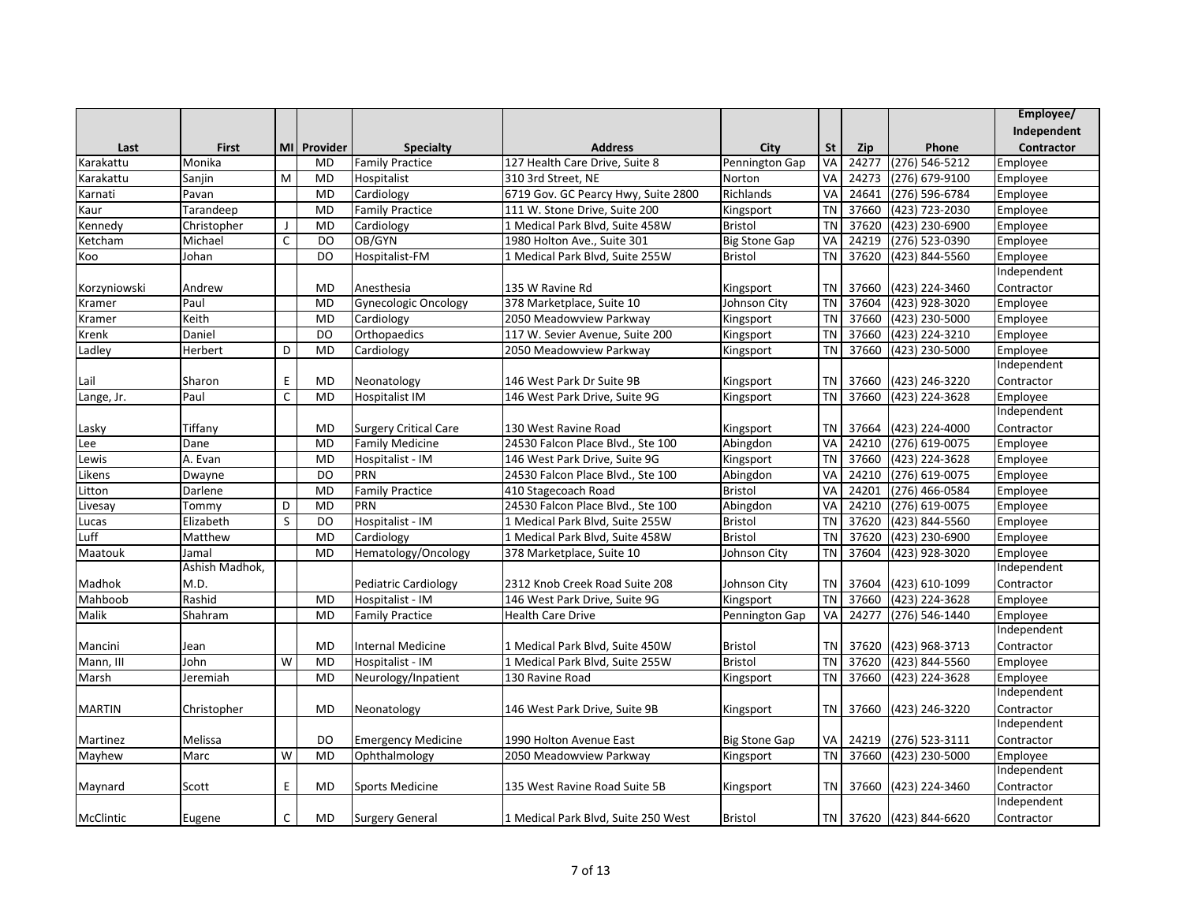|               |                |                |             |                              |                                     |                      |                 |       |                         | Employee/   |
|---------------|----------------|----------------|-------------|------------------------------|-------------------------------------|----------------------|-----------------|-------|-------------------------|-------------|
|               |                |                |             |                              |                                     |                      |                 |       |                         | Independent |
| Last          | <b>First</b>   |                | MI Provider | <b>Specialty</b>             | <b>Address</b>                      | City                 | <b>St</b>       | Zip   | Phone                   | Contractor  |
| Karakattu     | Monika         |                | <b>MD</b>   | <b>Family Practice</b>       | 127 Health Care Drive, Suite 8      | Pennington Gap       | VA              | 24277 | $(276) 546 - 5212$      | Employee    |
| Karakattu     | Saniin         | M              | <b>MD</b>   | Hospitalist                  | 310 3rd Street, NE                  | Norton               | <b>VA</b>       | 24273 | $(276)$ 679-9100        | Employee    |
| Karnati       | Pavan          |                | <b>MD</b>   | Cardiology                   | 6719 Gov. GC Pearcy Hwy, Suite 2800 | Richlands            | VA              | 24641 | (276) 596-6784          | Employee    |
| Kaur          | Tarandeep      |                | <b>MD</b>   | <b>Family Practice</b>       | 111 W. Stone Drive, Suite 200       | Kingsport            | <b>TN</b>       | 37660 | (423) 723-2030          | Employee    |
| Kennedy       | Christopher    | $\mathbf{I}$   | <b>MD</b>   | Cardiology                   | 1 Medical Park Blvd, Suite 458W     | <b>Bristol</b>       | <b>TN</b>       | 37620 | (423) 230-6900          | Employee    |
| Ketcham       | Michael        | C              | <b>DO</b>   | OB/GYN                       | 1980 Holton Ave., Suite 301         | <b>Big Stone Gap</b> | VA              | 24219 | (276) 523-0390          | Employee    |
| Koo           | Johan          |                | <b>DO</b>   | Hospitalist-FM               | 1 Medical Park Blvd, Suite 255W     | <b>Bristol</b>       | <b>TN</b>       | 37620 | $(423) 844 - 5560$      | Employee    |
|               |                |                |             |                              |                                     |                      |                 |       |                         | Independent |
| Korzyniowski  | Andrew         |                | <b>MD</b>   | Anesthesia                   | 135 W Ravine Rd                     | Kingsport            | TN              | 37660 | (423) 224-3460          | Contractor  |
| Kramer        | Paul           |                | <b>MD</b>   | <b>Gynecologic Oncology</b>  | 378 Marketplace, Suite 10           | Johnson City         | $\overline{T}N$ | 37604 | (423) 928-3020          | Employee    |
| Kramer        | Keith          |                | <b>MD</b>   | Cardiology                   | 2050 Meadowview Parkway             | Kingsport            | <b>TN</b>       | 37660 | (423) 230-5000          | Employee    |
| Krenk         | Daniel         |                | DO          | Orthopaedics                 | 117 W. Sevier Avenue, Suite 200     | Kingsport            | <b>TN</b>       | 37660 | (423) 224-3210          | Employee    |
| Ladley        | Herbert        | D              | <b>MD</b>   | Cardiology                   | 2050 Meadowview Parkway             | Kingsport            | <b>TN</b>       | 37660 | $(423)$ 230-5000        | Employee    |
|               |                |                |             |                              |                                     |                      |                 |       |                         | Independent |
| Lail          | Sharon         | E              | <b>MD</b>   | Neonatology                  | 146 West Park Dr Suite 9B           | Kingsport            | <b>TN</b>       | 37660 | (423) 246-3220          | Contractor  |
| Lange, Jr.    | Paul           | C              | <b>MD</b>   | <b>Hospitalist IM</b>        | 146 West Park Drive, Suite 9G       | Kingsport            | TN              | 37660 | (423) 224-3628          | Employee    |
|               |                |                |             |                              |                                     |                      |                 |       |                         | Independent |
| Lasky         | Tiffany        |                | <b>MD</b>   | <b>Surgery Critical Care</b> | 130 West Ravine Road                | Kingsport            | <b>TN</b>       | 37664 | (423) 224-4000          | Contractor  |
| Lee           | Dane           |                | <b>MD</b>   | <b>Family Medicine</b>       | 24530 Falcon Place Blvd., Ste 100   | Abingdon             | VA              | 24210 | (276) 619-0075          | Employee    |
| Lewis         | A. Evan        |                | <b>MD</b>   | Hospitalist - IM             | 146 West Park Drive, Suite 9G       | Kingsport            | $\overline{T}N$ | 37660 | (423) 224-3628          | Employee    |
| Likens        | Dwayne         |                | <b>DO</b>   | PRN                          | 24530 Falcon Place Blvd., Ste 100   | Abingdon             | VA              | 24210 | $(276)$ 619-0075        | Employee    |
| Litton        | Darlene        |                | <b>MD</b>   | <b>Family Practice</b>       | 410 Stagecoach Road                 | <b>Bristol</b>       | VA              | 24201 | $(276)$ 466-0584        | Employee    |
| Livesay       | Tommy          | D              | <b>MD</b>   | PRN                          | 24530 Falcon Place Blvd., Ste 100   | Abingdon             | VA              | 24210 | $(276)$ 619-0075        | Employee    |
| Lucas         | Elizabeth      | S              | DO          | Hospitalist - IM             | 1 Medical Park Blvd, Suite 255W     | <b>Bristol</b>       | TN              | 37620 | (423) 844-5560          | Employee    |
| Luff          | Matthew        |                | <b>MD</b>   | Cardiology                   | 1 Medical Park Blvd, Suite 458W     | <b>Bristol</b>       | TN              | 37620 | (423) 230-6900          | Employee    |
| Maatouk       | Jamal          |                | <b>MD</b>   | Hematology/Oncology          | 378 Marketplace, Suite 10           | Johnson City         | TN              | 37604 | (423) 928-3020          | Employee    |
|               | Ashish Madhok, |                |             |                              |                                     |                      |                 |       |                         | Independent |
| Madhok        | M.D.           |                |             | Pediatric Cardiology         | 2312 Knob Creek Road Suite 208      | Johnson City         | <b>TN</b>       | 37604 | (423) 610-1099          | Contractor  |
| Mahboob       | Rashid         |                | <b>MD</b>   | Hospitalist - IM             | 146 West Park Drive, Suite 9G       | Kingsport            | $\overline{T}N$ | 37660 | (423) 224-3628          | Employee    |
| Malik         | Shahram        |                | MD          | <b>Family Practice</b>       | <b>Health Care Drive</b>            | Pennington Gap       | VA              | 24277 | (276) 546-1440          | Employee    |
|               |                |                |             |                              |                                     |                      |                 |       |                         | Independent |
| Mancini       | Jean           |                | <b>MD</b>   | <b>Internal Medicine</b>     | 1 Medical Park Blvd, Suite 450W     | <b>Bristol</b>       | <b>TN</b>       | 37620 | (423) 968-3713          | Contractor  |
| Mann, III     | John           | $\overline{W}$ | <b>MD</b>   | Hospitalist - IM             | 1 Medical Park Blvd, Suite 255W     | <b>Bristol</b>       | TN              | 37620 | (423) 844-5560          | Employee    |
| Marsh         | Jeremiah       |                | <b>MD</b>   | Neurology/Inpatient          | 130 Ravine Road                     | Kingsport            | <b>TN</b>       | 37660 | (423) 224-3628          | Employee    |
|               |                |                |             |                              |                                     |                      |                 |       |                         | Independent |
| <b>MARTIN</b> | Christopher    |                | <b>MD</b>   | Neonatology                  | 146 West Park Drive, Suite 9B       | Kingsport            | TN              | 37660 | (423) 246-3220          | Contractor  |
|               |                |                |             |                              |                                     |                      |                 |       |                         | Independent |
| Martinez      | Melissa        |                | <b>DO</b>   | Emergency Medicine           | 1990 Holton Avenue East             | <b>Big Stone Gap</b> | VA <sup>I</sup> | 24219 | (276) 523-3111          | Contractor  |
| Mayhew        | Marc           | W              | <b>MD</b>   | Ophthalmology                | 2050 Meadowview Parkway             | Kingsport            | TN I            | 37660 | (423) 230-5000          | Employee    |
|               |                |                |             |                              |                                     |                      |                 |       |                         | Independent |
| Maynard       | Scott          | E              | <b>MD</b>   | <b>Sports Medicine</b>       | 135 West Ravine Road Suite 5B       | Kingsport            | TN I            | 37660 | (423) 224-3460          | Contractor  |
|               |                |                |             |                              |                                     |                      |                 |       |                         | Independent |
| McClintic     | Eugene         | C              | <b>MD</b>   | <b>Surgery General</b>       | 1 Medical Park Blvd, Suite 250 West | <b>Bristol</b>       |                 |       | TN 37620 (423) 844-6620 | Contractor  |
|               |                |                |             |                              |                                     |                      |                 |       |                         |             |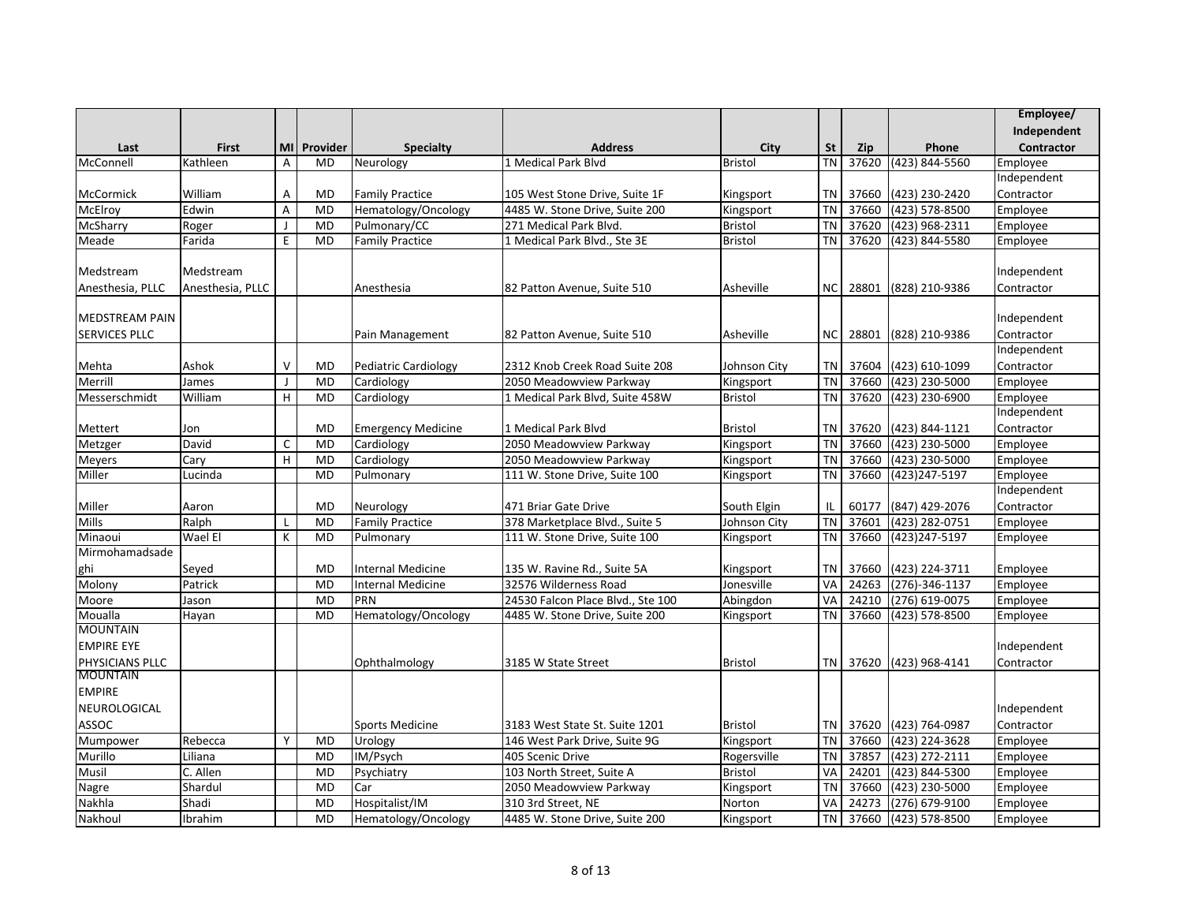|                       |                  |                           |             |                           |                                   |                |                 |            |                      | Employee/   |
|-----------------------|------------------|---------------------------|-------------|---------------------------|-----------------------------------|----------------|-----------------|------------|----------------------|-------------|
|                       |                  |                           |             |                           |                                   |                |                 |            |                      | Independent |
| Last                  | First            |                           | MI Provider | <b>Specialty</b>          | <b>Address</b>                    | City           | <b>St</b>       | <b>Zip</b> | Phone                | Contractor  |
| McConnell             | Kathleen         | Α                         | MD          | Neurology                 | 1 Medical Park Blvd               | Bristol        | <b>TN</b>       | 37620      | $(423) 844 - 5560$   | Employee    |
|                       |                  |                           |             |                           |                                   |                |                 |            |                      | Independent |
| <b>McCormick</b>      | William          | Α                         | <b>MD</b>   | <b>Family Practice</b>    | 105 West Stone Drive, Suite 1F    | Kingsport      | TN              | 37660      | (423) 230-2420       | Contractor  |
| McElroy               | Edwin            | A                         | <b>MD</b>   | Hematology/Oncology       | 4485 W. Stone Drive, Suite 200    | Kingsport      | <b>TN</b>       | 37660      | (423) 578-8500       | Employee    |
| McSharry              | Roger            | $\mathbf{I}$              | <b>MD</b>   | Pulmonary/CC              | 271 Medical Park Blvd.            | <b>Bristol</b> | <b>TN</b>       | 37620      | (423) 968-2311       | Employee    |
| Meade                 | Farida           | E                         | <b>MD</b>   | <b>Family Practice</b>    | 1 Medical Park Blvd., Ste 3E      | <b>Bristol</b> | <b>TN</b>       | 37620      | (423) 844-5580       | Employee    |
|                       |                  |                           |             |                           |                                   |                |                 |            |                      |             |
| Medstream             | Medstream        |                           |             |                           |                                   |                |                 |            |                      | Independent |
| Anesthesia, PLLC      | Anesthesia, PLLC |                           |             | Anesthesia                | 82 Patton Avenue, Suite 510       | Asheville      | NC <sub>1</sub> | 28801      | (828) 210-9386       | Contractor  |
|                       |                  |                           |             |                           |                                   |                |                 |            |                      |             |
| <b>MEDSTREAM PAIN</b> |                  |                           |             |                           |                                   |                |                 |            |                      | Independent |
| <b>SERVICES PLLC</b>  |                  |                           |             | Pain Management           | 82 Patton Avenue, Suite 510       | Asheville      | NC I            | 28801      | (828) 210-9386       | Contractor  |
|                       |                  |                           |             |                           |                                   |                |                 |            |                      | Independent |
| Mehta                 | Ashok            | v                         | <b>MD</b>   | Pediatric Cardiology      | 2312 Knob Creek Road Suite 208    | Johnson City   | <b>TN</b>       | 37604      | (423) 610-1099       | Contractor  |
| Merrill               | James            | $\mathbf{J}$              | <b>MD</b>   | Cardiology                | 2050 Meadowview Parkway           | Kingsport      | <b>TN</b>       | 37660      | $(423)$ 230-5000     | Employee    |
| Messerschmidt         | William          | $\boldsymbol{\mathsf{H}}$ | <b>MD</b>   | Cardiology                | 1 Medical Park Blvd, Suite 458W   | <b>Bristol</b> | <b>TN</b>       | 37620      | (423) 230-6900       | Employee    |
|                       |                  |                           |             |                           |                                   |                |                 |            |                      | Independent |
| Mettert               | Jon              |                           | MD          | <b>Emergency Medicine</b> | 1 Medical Park Blvd               | <b>Bristol</b> | <b>TN</b>       | 37620      | (423) 844-1121       | Contractor  |
| Metzger               | David            | $\mathsf C$               | <b>MD</b>   | Cardiology                | 2050 Meadowview Parkway           | Kingsport      | <b>TN</b>       | 37660      | (423) 230-5000       | Employee    |
| Meyers                | Cary             | H                         | <b>MD</b>   | Cardiology                | 2050 Meadowview Parkway           | Kingsport      | <b>TN</b>       | 37660      | (423) 230-5000       | Employee    |
| Miller                | Lucinda          |                           | <b>MD</b>   | Pulmonary                 | 111 W. Stone Drive, Suite 100     | Kingsport      | <b>TN</b>       | 37660      | (423)247-5197        | Employee    |
|                       |                  |                           |             |                           |                                   |                |                 |            |                      | Independent |
| Miller                | Aaron            |                           | <b>MD</b>   | Neurology                 | 471 Briar Gate Drive              | South Elgin    | IL              | 60177      | (847) 429-2076       | Contractor  |
| Mills                 | Ralph            | L                         | <b>MD</b>   | <b>Family Practice</b>    | 378 Marketplace Blvd., Suite 5    | Johnson City   | <b>TN</b>       | 37601      | (423) 282-0751       | Employee    |
| Minaoui               | Wael El          | К                         | <b>MD</b>   | Pulmonary                 | 111 W. Stone Drive, Suite 100     | Kingsport      | <b>TN</b>       | 37660      | (423) 247-5197       | Employee    |
| Mirmohamadsade        |                  |                           |             |                           |                                   |                |                 |            |                      |             |
| ghi                   | Seyed            |                           | <b>MD</b>   | Internal Medicine         | 135 W. Ravine Rd., Suite 5A       | Kingsport      | ΤN              | 37660      | (423) 224-3711       | Employee    |
| Molony                | Patrick          |                           | <b>MD</b>   | <b>Internal Medicine</b>  | 32576 Wilderness Road             | Jonesville     | VA              | 24263      | $(276) - 346 - 1137$ | Employee    |
| Moore                 | Jason            |                           | <b>MD</b>   | PRN                       | 24530 Falcon Place Blvd., Ste 100 | Abingdon       | VA              | 24210      | (276) 619-0075       | Employee    |
| Moualla               | Hayan            |                           | <b>MD</b>   | Hematology/Oncology       | 4485 W. Stone Drive, Suite 200    | Kingsport      | <b>TN</b>       | 37660      | (423) 578-8500       | Employee    |
| <b>MOUNTAIN</b>       |                  |                           |             |                           |                                   |                |                 |            |                      |             |
| <b>EMPIRE EYE</b>     |                  |                           |             |                           |                                   |                |                 |            |                      | Independent |
| PHYSICIANS PLLC       |                  |                           |             | Ophthalmology             | 3185 W State Street               | <b>Bristol</b> | TN              | 37620      | (423) 968-4141       | Contractor  |
| <b>MOUNTAIN</b>       |                  |                           |             |                           |                                   |                |                 |            |                      |             |
| <b>EMPIRE</b>         |                  |                           |             |                           |                                   |                |                 |            |                      |             |
| NEUROLOGICAL          |                  |                           |             |                           |                                   |                |                 |            |                      | Independent |
| ASSOC                 |                  |                           |             | <b>Sports Medicine</b>    | 3183 West State St. Suite 1201    | <b>Bristol</b> | <b>TN</b>       | 37620      | (423) 764-0987       | Contractor  |
| Mumpower              | Rebecca          | Y                         | <b>MD</b>   | Urology                   | 146 West Park Drive, Suite 9G     | Kingsport      | <b>TN</b>       | 37660      | (423) 224-3628       | Employee    |
| Murillo               | Liliana          |                           | <b>MD</b>   | IM/Psych                  | 405 Scenic Drive                  | Rogersville    | <b>TN</b>       | 37857      | (423) 272-2111       | Employee    |
| Musil                 | C. Allen         |                           | <b>MD</b>   | Psychiatry                | 103 North Street, Suite A         | <b>Bristol</b> | VA              | 24201      | (423) 844-5300       | Employee    |
| <b>Nagre</b>          | Shardul          |                           | <b>MD</b>   | Car                       | 2050 Meadowview Parkway           | Kingsport      | <b>TN</b>       | 37660      | (423) 230-5000       | Employee    |
| Nakhla                | Shadi            |                           | <b>MD</b>   | Hospitalist/IM            | 310 3rd Street, NE                | Norton         | VA              | 24273      | (276) 679-9100       | Employee    |
| Nakhoul               | Ibrahim          |                           | <b>MD</b>   | Hematology/Oncology       | 4485 W. Stone Drive, Suite 200    | Kingsport      | <b>TN</b>       | 37660      | (423) 578-8500       | Employee    |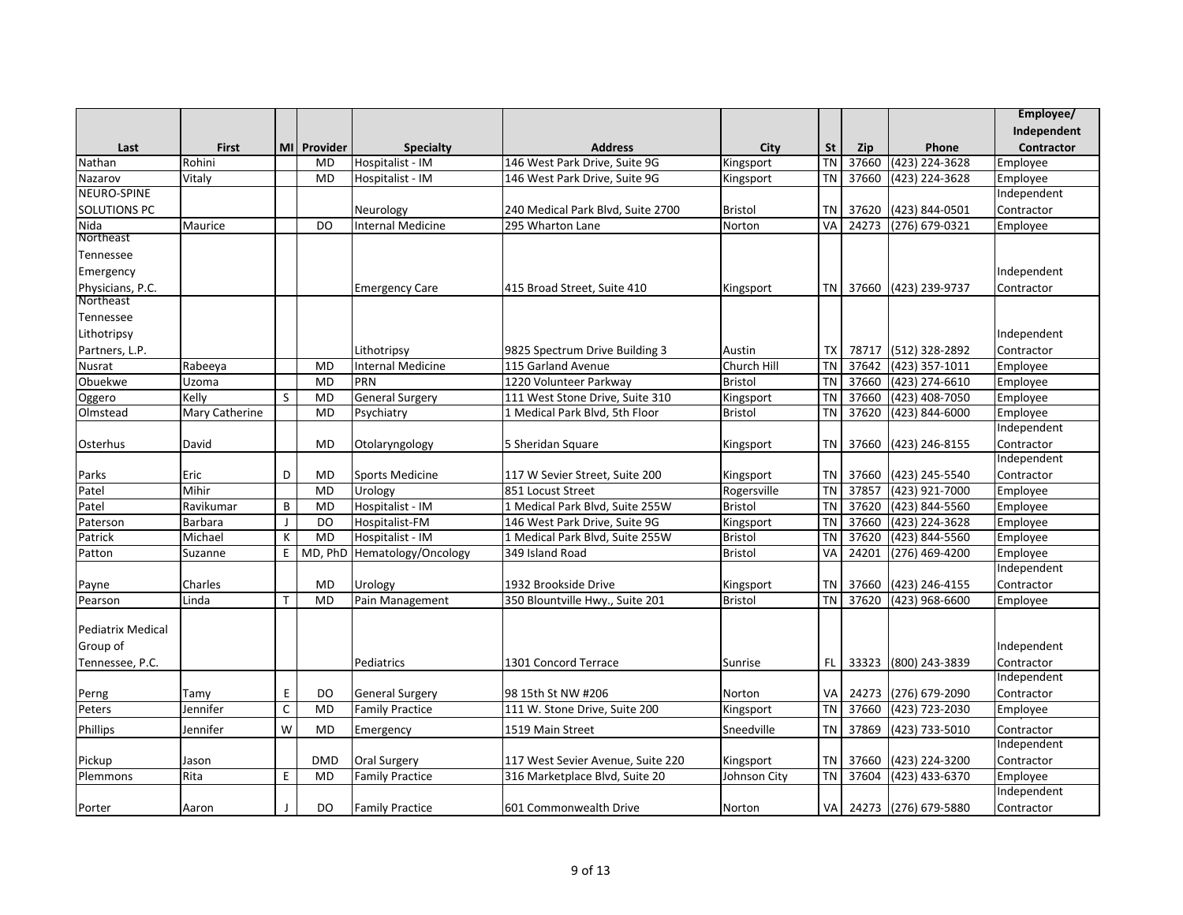|                     |                |              |             |                                        |                                                                     |                           |           |       |                         | Employee/              |
|---------------------|----------------|--------------|-------------|----------------------------------------|---------------------------------------------------------------------|---------------------------|-----------|-------|-------------------------|------------------------|
|                     |                |              |             |                                        |                                                                     |                           |           |       |                         | Independent            |
| Last                | <b>First</b>   |              | MI Provider | <b>Specialty</b>                       | <b>Address</b>                                                      | City                      | <b>St</b> | Zip   | Phone                   | Contractor             |
| Nathan              | Rohini         |              | <b>MD</b>   | Hospitalist - IM                       | 146 West Park Drive, Suite 9G                                       | Kingsport                 | <b>TN</b> | 37660 | (423) 224-3628          | Employee               |
| Nazarov             | Vitaly         |              | <b>MD</b>   | Hospitalist - IM                       | 146 West Park Drive, Suite 9G                                       | Kingsport                 | <b>TN</b> | 37660 | (423) 224-3628          | Employee               |
| NEURO-SPINE         |                |              |             |                                        |                                                                     |                           |           |       |                         | Independent            |
| <b>SOLUTIONS PC</b> |                |              |             | Neurology                              | 240 Medical Park Blvd, Suite 2700                                   | <b>Bristol</b>            | <b>TN</b> | 37620 | (423) 844-0501          | Contractor             |
| Nida                | Maurice        |              | <b>DO</b>   | <b>Internal Medicine</b>               | 295 Wharton Lane                                                    | Norton                    | VA        | 24273 | (276) 679-0321          | Employee               |
| Northeast           |                |              |             |                                        |                                                                     |                           |           |       |                         |                        |
| Tennessee           |                |              |             |                                        |                                                                     |                           |           |       |                         |                        |
| Emergency           |                |              |             |                                        |                                                                     |                           |           |       |                         | Independent            |
| Physicians, P.C.    |                |              |             | <b>Emergency Care</b>                  | 415 Broad Street, Suite 410                                         | Kingsport                 | <b>TN</b> | 37660 | (423) 239-9737          | Contractor             |
| Northeast           |                |              |             |                                        |                                                                     |                           |           |       |                         |                        |
| Tennessee           |                |              |             |                                        |                                                                     |                           |           |       |                         |                        |
| Lithotripsy         |                |              |             |                                        |                                                                     |                           |           |       |                         | Independent            |
| Partners, L.P.      |                |              |             | Lithotripsy                            | 9825 Spectrum Drive Building 3                                      | Austin                    | <b>TX</b> | 78717 | (512) 328-2892          | Contractor             |
| Nusrat              | Rabeeya        |              | <b>MD</b>   | <b>Internal Medicine</b>               | 115 Garland Avenue                                                  | Church Hill               | <b>TN</b> | 37642 | (423) 357-1011          | Employee               |
| Obuekwe             | Uzoma          |              | <b>MD</b>   | PRN                                    | 1220 Volunteer Parkway                                              | <b>Bristol</b>            | <b>TN</b> | 37660 | (423) 274-6610          | Employee               |
| Oggero              | Kelly          | <sub>S</sub> | <b>MD</b>   | <b>General Surgery</b>                 | 111 West Stone Drive, Suite 310                                     | Kingsport                 | <b>TN</b> | 37660 | $(423)$ 408-7050        | Employee               |
| Olmstead            | Mary Catherine |              | <b>MD</b>   | Psychiatry                             | 1 Medical Park Blvd, 5th Floor                                      | <b>Bristol</b>            | <b>TN</b> | 37620 | (423) 844-6000          | Employee               |
|                     |                |              |             |                                        |                                                                     |                           |           |       |                         | Independent            |
| Osterhus            | David          |              | <b>MD</b>   | Otolaryngology                         | 5 Sheridan Square                                                   | Kingsport                 | <b>TN</b> | 37660 | (423) 246-8155          | Contractor             |
|                     |                |              |             |                                        |                                                                     |                           |           |       |                         | Independent            |
| Parks               | Eric           | D            | <b>MD</b>   | <b>Sports Medicine</b>                 | 117 W Sevier Street, Suite 200                                      | Kingsport                 | <b>TN</b> | 37660 | (423) 245-5540          | Contractor             |
| Patel               | Mihir          |              | <b>MD</b>   | Urology                                | 851 Locust Street                                                   | Rogersville               | <b>TN</b> | 37857 | (423) 921-7000          | Employee               |
| Patel               | Ravikumar      | B            | <b>MD</b>   | Hospitalist - IM                       | 1 Medical Park Blvd, Suite 255W                                     | <b>Bristol</b>            | <b>TN</b> | 37620 | (423) 844-5560          | Employee               |
| Paterson            | Barbara        | J            | DO          | Hospitalist-FM                         | 146 West Park Drive, Suite 9G                                       | Kingsport                 | <b>TN</b> | 37660 | (423) 224-3628          | Employee               |
| Patrick             | Michael        | K            | <b>MD</b>   | Hospitalist - IM                       | 1 Medical Park Blvd, Suite 255W                                     | <b>Bristol</b>            | <b>TN</b> | 37620 | (423) 844-5560          | Employee               |
| Patton              | Suzanne        | E            | MD, PhD     | Hematology/Oncology                    | 349 Island Road                                                     | <b>Bristol</b>            | VA        | 24201 | (276) 469-4200          | Employee               |
|                     |                |              |             |                                        |                                                                     |                           |           |       |                         | Independent            |
| Payne               | Charles        |              | <b>MD</b>   | Urology                                | 1932 Brookside Drive                                                | Kingsport                 | <b>TN</b> | 37660 | (423) 246-4155          | Contractor             |
| Pearson             | Linda          | T.           | <b>MD</b>   | Pain Management                        | 350 Blountville Hwy., Suite 201                                     | <b>Bristol</b>            | <b>TN</b> | 37620 | (423) 968-6600          | Employee               |
|                     |                |              |             |                                        |                                                                     |                           |           |       |                         |                        |
| Pediatrix Medical   |                |              |             |                                        |                                                                     |                           |           |       |                         |                        |
| Group of            |                |              |             |                                        |                                                                     |                           |           |       |                         | Independent            |
| Tennessee, P.C.     |                |              |             | Pediatrics                             | 1301 Concord Terrace                                                | Sunrise                   | <b>FL</b> | 33323 | (800) 243-3839          | Contractor             |
|                     |                |              |             |                                        |                                                                     |                           |           |       |                         | Independent            |
| Perng               | Tamy           | E            | DO          | <b>General Surgery</b>                 | 98 15th St NW #206                                                  | Norton                    | VA        | 24273 | (276) 679-2090          | Contractor             |
| Peters              | Jennifer       | $\mathsf{C}$ | <b>MD</b>   | <b>Family Practice</b>                 | 111 W. Stone Drive, Suite 200                                       | Kingsport                 | <b>TN</b> | 37660 | (423) 723-2030          | Employee               |
| <b>Phillips</b>     | Jennifer       | W            | <b>MD</b>   | Emergency                              | 1519 Main Street                                                    | Sneedville                | <b>TN</b> | 37869 | (423) 733-5010          | Contractor             |
|                     |                |              |             |                                        |                                                                     |                           |           |       |                         | Independent            |
|                     |                |              | <b>DMD</b>  |                                        |                                                                     |                           | TN        | 37660 | (423) 224-3200          |                        |
| Pickup<br>Plemmons  | Jason<br>Rita  | E            | <b>MD</b>   | Oral Surgery<br><b>Family Practice</b> | 117 West Sevier Avenue, Suite 220<br>316 Marketplace Blvd, Suite 20 | Kingsport<br>Johnson City | <b>TN</b> | 37604 | (423) 433-6370          | Contractor<br>Employee |
|                     |                |              |             |                                        |                                                                     |                           |           |       |                         | Independent            |
|                     |                |              |             |                                        |                                                                     |                           |           |       |                         |                        |
| Porter              | Aaron          |              | DO          | <b>Family Practice</b>                 | 601 Commonwealth Drive                                              | Norton                    |           |       | VA 24273 (276) 679-5880 | Contractor             |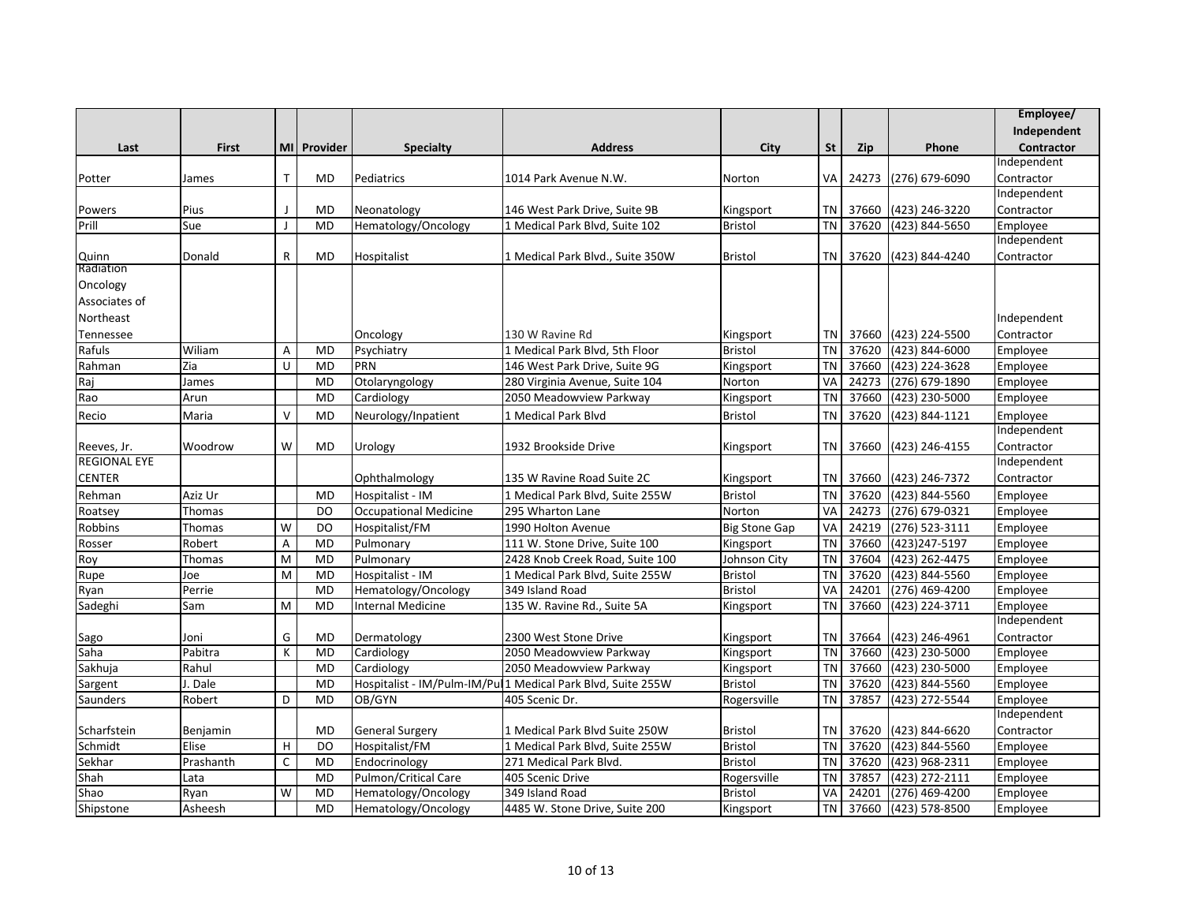|                     |              |              |             |                              |                                                              |                      |           |       |                             | Employee/         |
|---------------------|--------------|--------------|-------------|------------------------------|--------------------------------------------------------------|----------------------|-----------|-------|-----------------------------|-------------------|
|                     |              |              |             |                              |                                                              |                      |           |       |                             | Independent       |
| Last                | <b>First</b> |              | MI Provider | <b>Specialty</b>             | <b>Address</b>                                               | City                 | St        | Zip   | Phone                       | <b>Contractor</b> |
|                     |              |              |             |                              |                                                              |                      |           |       |                             | Independent       |
| Potter              | James        | T.           | <b>MD</b>   | Pediatrics                   | 1014 Park Avenue N.W.                                        | Norton               | VA        | 24273 | (276) 679-6090              | Contractor        |
|                     |              |              |             |                              |                                                              |                      |           |       |                             | Independent       |
| Powers              | Pius         |              | <b>MD</b>   | Neonatology                  | 146 West Park Drive, Suite 9B                                | Kingsport            | <b>TN</b> | 37660 | (423) 246-3220              | Contractor        |
| Prill               | Sue          | $\mathbf{I}$ | <b>MD</b>   | Hematology/Oncology          | 1 Medical Park Blvd, Suite 102                               | <b>Bristol</b>       | <b>TN</b> | 37620 | (423) 844-5650              | Employee          |
|                     |              |              |             |                              |                                                              |                      |           |       |                             | Independent       |
| Quinn               | Donald       | $\mathsf{R}$ | <b>MD</b>   | Hospitalist                  | 1 Medical Park Blvd., Suite 350W                             | <b>Bristol</b>       | <b>TN</b> | 37620 | (423) 844-4240              | Contractor        |
| Radiation           |              |              |             |                              |                                                              |                      |           |       |                             |                   |
| Oncology            |              |              |             |                              |                                                              |                      |           |       |                             |                   |
| Associates of       |              |              |             |                              |                                                              |                      |           |       |                             |                   |
| Northeast           |              |              |             |                              |                                                              |                      |           |       |                             | Independent       |
| Tennessee           |              |              |             | Oncology                     | 130 W Ravine Rd                                              | Kingsport            | TN        | 37660 | (423) 224-5500              | Contractor        |
| Rafuls              | Wiliam       | A            | <b>MD</b>   | Psychiatry                   | 1 Medical Park Blvd, 5th Floor                               | <b>Bristol</b>       | <b>TN</b> | 37620 | (423) 844-6000              | Employee          |
| Rahman              | Zia          | U            | <b>MD</b>   | PRN                          | 146 West Park Drive, Suite 9G                                | Kingsport            | <b>TN</b> | 37660 | (423) 224-3628              | Employee          |
| Raj                 | James        |              | <b>MD</b>   | Otolaryngology               | 280 Virginia Avenue, Suite 104                               | Norton               | VA        | 24273 | (276) 679-1890              | Employee          |
| Rao                 | Arun         |              | <b>MD</b>   | Cardiology                   | 2050 Meadowview Parkway                                      | Kingsport            | <b>TN</b> | 37660 | (423) 230-5000              | Employee          |
| Recio               | Maria        | $\vee$       | <b>MD</b>   | Neurology/Inpatient          | 1 Medical Park Blvd                                          | <b>Bristol</b>       | <b>TN</b> | 37620 | (423) 844-1121              | Employee          |
|                     |              |              |             |                              |                                                              |                      |           |       |                             | Independent       |
| Reeves, Jr.         | Woodrow      | W            | <b>MD</b>   | Urology                      | 1932 Brookside Drive                                         | Kingsport            | TN        |       | 37660 (423) 246-4155        | Contractor        |
| <b>REGIONAL EYE</b> |              |              |             |                              |                                                              |                      |           |       |                             | Independent       |
| <b>CENTER</b>       |              |              |             | Ophthalmology                | 135 W Ravine Road Suite 2C                                   | Kingsport            | <b>TN</b> | 37660 | (423) 246-7372              | Contractor        |
| Rehman              | Aziz Ur      |              | <b>MD</b>   | Hospitalist - IM             | 1 Medical Park Blvd, Suite 255W                              | <b>Bristol</b>       | <b>TN</b> | 37620 | (423) 844-5560              | Employee          |
| Roatsey             | Thomas       |              | DO          | <b>Occupational Medicine</b> | 295 Wharton Lane                                             | Norton               | VA        | 24273 | $(276)$ 679-0321            | Employee          |
| Robbins             | Thomas       | W            | <b>DO</b>   | Hospitalist/FM               | 1990 Holton Avenue                                           | <b>Big Stone Gap</b> | VA        | 24219 | (276) 523-3111              | Employee          |
| Rosser              | Robert       | A            | <b>MD</b>   | Pulmonary                    | 111 W. Stone Drive, Suite 100                                | Kingsport            | <b>TN</b> | 37660 | (423) 247-5197              | Employee          |
| Roy                 | Thomas       | M            | <b>MD</b>   | Pulmonary                    | 2428 Knob Creek Road, Suite 100                              | Johnson City         | <b>TN</b> | 37604 | $\overline{(423)}$ 262-4475 | Employee          |
| Rupe                | Joe          | M            | <b>MD</b>   | Hospitalist - IM             | 1 Medical Park Blvd, Suite 255W                              | <b>Bristol</b>       | <b>TN</b> | 37620 | (423) 844-5560              | Employee          |
| Ryan                | Perrie       |              | <b>MD</b>   | Hematology/Oncology          | 349 Island Road                                              | <b>Bristol</b>       | VA        | 24201 | $(276)$ 469-4200            | Employee          |
| Sadeghi             | Sam          | M            | <b>MD</b>   | <b>Internal Medicine</b>     | 135 W. Ravine Rd., Suite 5A                                  | Kingsport            | <b>TN</b> | 37660 | (423) 224-3711              | Employee          |
|                     |              |              |             |                              |                                                              |                      |           |       |                             | Independent       |
| Sago                | Joni         | G            | <b>MD</b>   | Dermatology                  | 2300 West Stone Drive                                        | Kingsport            | <b>TN</b> | 37664 | (423) 246-4961              | Contractor        |
| Saha                | Pabitra      | K            | <b>MD</b>   | Cardiology                   | 2050 Meadowview Parkway                                      | Kingsport            | <b>TN</b> | 37660 | $(423)$ 230-5000            | Employee          |
| Sakhuja             | Rahul        |              | <b>MD</b>   | Cardiology                   | 2050 Meadowview Parkway                                      | Kingsport            | <b>TN</b> | 37660 | (423) 230-5000              | Employee          |
| Sargent             | J. Dale      |              | <b>MD</b>   |                              | Hospitalist - IM/Pulm-IM/Pul 1 Medical Park Blvd, Suite 255W | <b>Bristol</b>       | <b>TN</b> | 37620 | (423) 844-5560              | Employee          |
| Saunders            | Robert       | D            | <b>MD</b>   | OB/GYN                       | 405 Scenic Dr.                                               | Rogersville          | <b>TN</b> | 37857 | (423) 272-5544              | Employee          |
|                     |              |              |             |                              |                                                              |                      |           |       |                             | Independent       |
| Scharfstein         | Benjamin     |              | <b>MD</b>   | <b>General Surgery</b>       | 1 Medical Park Blvd Suite 250W                               | <b>Bristol</b>       | <b>TN</b> | 37620 | (423) 844-6620              | Contractor        |
| Schmidt             | Elise        | H            | <b>DO</b>   | Hospitalist/FM               | 1 Medical Park Blvd, Suite 255W                              | <b>Bristol</b>       | <b>TN</b> | 37620 | (423) 844-5560              | Employee          |
| Sekhar              | Prashanth    | C            | <b>MD</b>   | Endocrinology                | 271 Medical Park Blvd.                                       | Bristol              | <b>TN</b> | 37620 | (423) 968-2311              | Employee          |
| Shah                | Lata         |              | <b>MD</b>   | Pulmon/Critical Care         | 405 Scenic Drive                                             | Rogersville          | <b>TN</b> | 37857 | (423) 272-2111              | Employee          |
| Shao                | Ryan         | W            | <b>MD</b>   | Hematology/Oncology          | 349 Island Road                                              | <b>Bristol</b>       | VA        | 24201 | (276) 469-4200              | Employee          |
| Shipstone           | Asheesh      |              | <b>MD</b>   | Hematology/Oncology          | 4485 W. Stone Drive, Suite 200                               | Kingsport            | <b>TN</b> | 37660 | (423) 578-8500              | Employee          |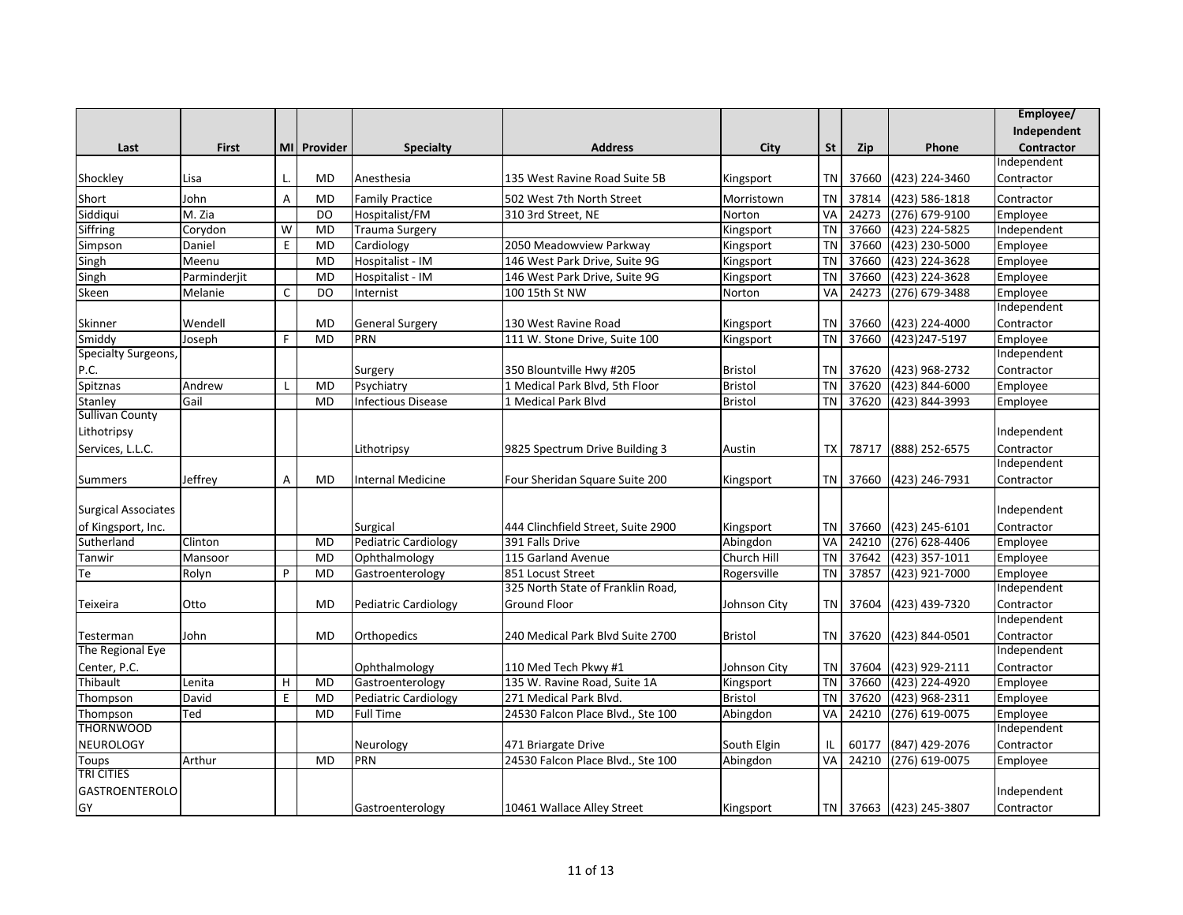|                            |              |                |             |                           |                                    |                |           |            |                         | Employee/         |
|----------------------------|--------------|----------------|-------------|---------------------------|------------------------------------|----------------|-----------|------------|-------------------------|-------------------|
|                            |              |                |             |                           |                                    |                |           |            |                         | Independent       |
| Last                       | <b>First</b> |                | MI Provider | <b>Specialty</b>          | <b>Address</b>                     | City           | <b>St</b> | <b>Zip</b> | Phone                   | <b>Contractor</b> |
|                            |              |                |             |                           |                                    |                |           |            |                         | Independent       |
| Shockley                   | Lisa         | L.             | <b>MD</b>   | Anesthesia                | 135 West Ravine Road Suite 5B      | Kingsport      | <b>TN</b> | 37660      | (423) 224-3460          | Contractor        |
| Short                      | John         | A              | <b>MD</b>   | <b>Family Practice</b>    | 502 West 7th North Street          | Morristown     | <b>TN</b> | 37814      | (423) 586-1818          | Contractor        |
| Siddiqui                   | M. Zia       |                | DO          | Hospitalist/FM            | 310 3rd Street, NE                 | Norton         | VA        | 24273      | (276) 679-9100          | Employee          |
| Siffring                   | Corydon      | W              | <b>MD</b>   | Trauma Surgery            |                                    | Kingsport      | <b>TN</b> | 37660      | (423) 224-5825          | Independent       |
| Simpson                    | Daniel       | E              | <b>MD</b>   | Cardiology                | 2050 Meadowview Parkway            | Kingsport      | <b>TN</b> | 37660      | (423) 230-5000          | Employee          |
| Singh                      | Meenu        |                | <b>MD</b>   | Hospitalist - IM          | 146 West Park Drive, Suite 9G      | Kingsport      | <b>TN</b> | 37660      | (423) 224-3628          | Employee          |
| Singh                      | Parminderjit |                | <b>MD</b>   | Hospitalist - IM          | 146 West Park Drive, Suite 9G      | Kingsport      | <b>TN</b> | 37660      | (423) 224-3628          | Employee          |
| Skeen                      | Melanie      | C              | DO          | Internist                 | 100 15th St NW                     | Norton         | VA        | 24273      | (276) 679-3488          | Employee          |
|                            |              |                |             |                           |                                    |                |           |            |                         | Independent       |
| Skinner                    | Wendell      |                | <b>MD</b>   | <b>General Surgery</b>    | 130 West Ravine Road               | Kingsport      | <b>TN</b> | 37660      | (423) 224-4000          | Contractor        |
| Smiddy                     | Joseph       | F.             | <b>MD</b>   | PRN                       | 111 W. Stone Drive, Suite 100      | Kingsport      | <b>TN</b> | 37660      | (423) 247-5197          | Employee          |
| <b>Specialty Surgeons,</b> |              |                |             |                           |                                    |                |           |            |                         | Independent       |
|                            |              |                |             | Surgery                   | 350 Blountville Hwy #205           | <b>Bristol</b> | <b>TN</b> | 37620      | (423) 968-2732          | Contractor        |
| P.C.<br>Spitznas           | Andrew       | $\mathbf{I}$   | <b>MD</b>   | Psychiatry                | 1 Medical Park Blvd, 5th Floor     | Bristol        | <b>TN</b> | 37620      | (423) 844-6000          | Employee          |
| Stanley                    | Gail         |                | <b>MD</b>   | <b>Infectious Disease</b> | 1 Medical Park Blvd                | <b>Bristol</b> | TN        | 37620      | (423) 844-3993          | Employee          |
| <b>Sullivan County</b>     |              |                |             |                           |                                    |                |           |            |                         |                   |
| Lithotripsy                |              |                |             |                           |                                    |                |           |            |                         | Independent       |
| Services, L.L.C.           |              |                |             | Lithotripsy               | 9825 Spectrum Drive Building 3     | Austin         | TХ        | 78717      | (888) 252-6575          | Contractor        |
|                            |              |                |             |                           |                                    |                |           |            |                         | Independent       |
| <b>Summers</b>             | Jeffrey      | $\overline{A}$ | MD          | Internal Medicine         | Four Sheridan Square Suite 200     | Kingsport      |           |            | TN 37660 (423) 246-7931 | Contractor        |
|                            |              |                |             |                           |                                    |                |           |            |                         |                   |
| <b>Surgical Associates</b> |              |                |             |                           |                                    |                |           |            |                         | Independent       |
| of Kingsport, Inc.         |              |                |             | Surgical                  | 444 Clinchfield Street, Suite 2900 | Kingsport      | <b>TN</b> | 37660      | (423) 245-6101          | Contractor        |
| Sutherland                 | Clinton      |                | <b>MD</b>   | Pediatric Cardiology      | 391 Falls Drive                    | Abingdon       | VA        | 24210      | (276) 628-4406          | Employee          |
| Tanwir                     | Mansoor      |                | <b>MD</b>   | Ophthalmology             | 115 Garland Avenue                 | Church Hill    | <b>TN</b> | 37642      | (423) 357-1011          | Employee          |
| Te                         | Rolyn        | P              | <b>MD</b>   | Gastroenterology          | 851 Locust Street                  | Rogersville    | <b>TN</b> | 37857      | (423) 921-7000          | Employee          |
|                            |              |                |             |                           | 325 North State of Franklin Road,  |                |           |            |                         | Independent       |
| Teixeira                   | Otto         |                | <b>MD</b>   | Pediatric Cardiology      | <b>Ground Floor</b>                | Johnson City   | <b>TN</b> | 37604      | (423) 439-7320          | Contractor        |
|                            |              |                |             |                           |                                    |                |           |            |                         | Independent       |
| Testerman                  | John         |                | <b>MD</b>   | Orthopedics               | 240 Medical Park Blvd Suite 2700   | <b>Bristol</b> |           | TN 37620   | (423) 844-0501          | Contractor        |
| The Regional Eye           |              |                |             |                           |                                    |                |           |            |                         | Independent       |
| Center, P.C.               |              |                |             | Ophthalmology             | 110 Med Tech Pkwy #1               | Johnson City   | TN        | 37604      | (423) 929-2111          | Contractor        |
| Thibault                   | Lenita       | H              | <b>MD</b>   | Gastroenterology          | 135 W. Ravine Road, Suite 1A       | Kingsport      | <b>TN</b> | 37660      | (423) 224-4920          | Employee          |
| Thompson                   | David        | E              | <b>MD</b>   | Pediatric Cardiology      | 271 Medical Park Blvd.             | <b>Bristol</b> | <b>TN</b> | 37620      | (423) 968-2311          | Employee          |
| Thompson                   | Ted          |                | <b>MD</b>   | <b>Full Time</b>          | 24530 Falcon Place Blvd., Ste 100  | Abingdon       | VA        | 24210      | (276) 619-0075          | Employee          |
| <b>THORNWOOD</b>           |              |                |             |                           |                                    |                |           |            |                         | Independent       |
| NEUROLOGY                  |              |                |             | Neurology                 | 471 Briargate Drive                | South Elgin    | IL        | 60177      | (847) 429-2076          | Contractor        |
| Toups                      | Arthur       |                | <b>MD</b>   | PRN                       | 24530 Falcon Place Blvd., Ste 100  | Abingdon       | VA        | 24210      | (276) 619-0075          | Employee          |
| <b>TRI CITIES</b>          |              |                |             |                           |                                    |                |           |            |                         |                   |
| <b>GASTROENTEROLO</b>      |              |                |             |                           |                                    |                |           |            |                         | Independent       |
| GY                         |              |                |             | Gastroenterology          | 10461 Wallace Alley Street         | Kingsport      |           |            | TN 37663 (423) 245-3807 | Contractor        |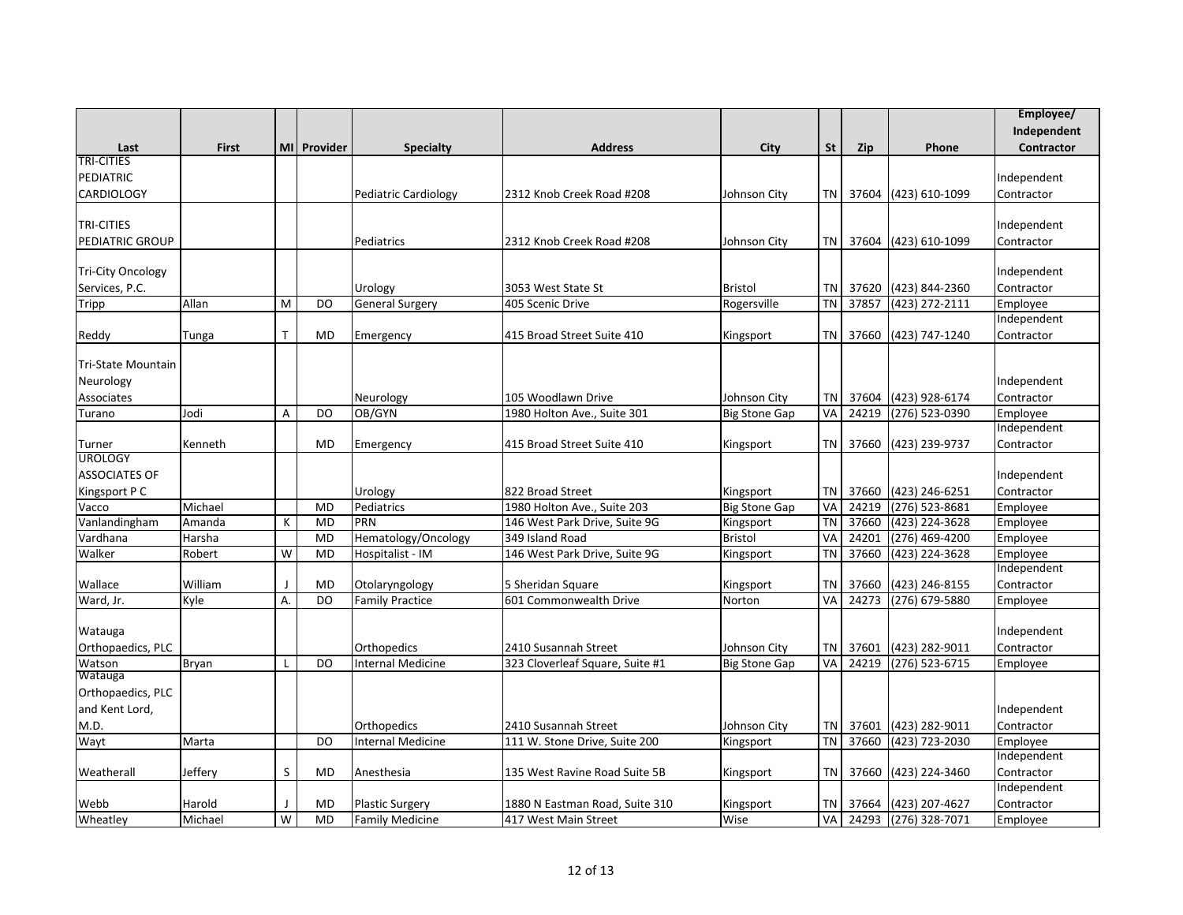|                          |              |              |             |                          |                                 |                      |           |            |                      | Employee/   |
|--------------------------|--------------|--------------|-------------|--------------------------|---------------------------------|----------------------|-----------|------------|----------------------|-------------|
|                          |              |              |             |                          |                                 |                      |           |            |                      | Independent |
| Last                     | <b>First</b> |              | MI Provider | <b>Specialty</b>         | <b>Address</b>                  | City                 | <b>St</b> | <b>Zip</b> | Phone                | Contractor  |
| <b>TRI-CITIES</b>        |              |              |             |                          |                                 |                      |           |            |                      |             |
| PEDIATRIC                |              |              |             |                          |                                 |                      |           |            |                      | Independent |
| <b>CARDIOLOGY</b>        |              |              |             | Pediatric Cardiology     | 2312 Knob Creek Road #208       | Johnson City         | TN        | 37604      | (423) 610-1099       | Contractor  |
|                          |              |              |             |                          |                                 |                      |           |            |                      |             |
| <b>TRI-CITIES</b>        |              |              |             |                          |                                 |                      |           |            |                      | Independent |
| <b>PEDIATRIC GROUP</b>   |              |              |             | Pediatrics               | 2312 Knob Creek Road #208       | Johnson City         | TN        |            | 37604 (423) 610-1099 | Contractor  |
|                          |              |              |             |                          |                                 |                      |           |            |                      |             |
| <b>Tri-City Oncology</b> |              |              |             |                          |                                 |                      |           |            |                      | Independent |
| Services, P.C.           |              |              |             | Urology                  | 3053 West State St              | <b>Bristol</b>       | TN        |            | 37620 (423) 844-2360 | Contractor  |
| Tripp                    | Allan        | M            | DO          | <b>General Surgery</b>   | 405 Scenic Drive                | Rogersville          | <b>TN</b> | 37857      | (423) 272-2111       | Employee    |
|                          |              |              |             |                          |                                 |                      |           |            |                      | Independent |
| Reddy                    | <b>Tunga</b> | $\mathsf{T}$ | <b>MD</b>   | Emergency                | 415 Broad Street Suite 410      | Kingsport            | TN        | 37660      | (423) 747-1240       | Contractor  |
|                          |              |              |             |                          |                                 |                      |           |            |                      |             |
| Tri-State Mountain       |              |              |             |                          |                                 |                      |           |            |                      |             |
| Neurology                |              |              |             |                          |                                 |                      |           |            |                      | Independent |
| Associates               |              |              |             | Neurology                | 105 Woodlawn Drive              | Johnson City         | TN        |            | 37604 (423) 928-6174 | Contractor  |
| Turano                   | Jodi         | A            | DO          | OB/GYN                   | 1980 Holton Ave., Suite 301     | <b>Big Stone Gap</b> | VA        | 24219      | (276) 523-0390       | Employee    |
|                          |              |              |             |                          |                                 |                      |           |            |                      | Independent |
| Turner                   | Kenneth      |              | <b>MD</b>   | Emergency                | 415 Broad Street Suite 410      | Kingsport            | TN        | 37660      | (423) 239-9737       | Contractor  |
| <b>UROLOGY</b>           |              |              |             |                          |                                 |                      |           |            |                      |             |
| <b>ASSOCIATES OF</b>     |              |              |             |                          |                                 |                      |           |            |                      | Independent |
| Kingsport P C            |              |              |             | Urology                  | 822 Broad Street                | Kingsport            | ΤN        | 37660      | (423) 246-6251       | Contractor  |
| Vacco                    | Michael      |              | <b>MD</b>   | Pediatrics               | 1980 Holton Ave., Suite 203     | <b>Big Stone Gap</b> | VA        | 24219      | $(276)$ 523-8681     | Employee    |
| Vanlandingham            | Amanda       | К            | <b>MD</b>   | PRN                      | 146 West Park Drive, Suite 9G   | Kingsport            | <b>TN</b> | 37660      | (423) 224-3628       | Employee    |
| Vardhana                 | Harsha       |              | <b>MD</b>   | Hematology/Oncology      | 349 Island Road                 | <b>Bristol</b>       | VA        | 24201      | (276) 469-4200       | Employee    |
| Walker                   | Robert       | W            | <b>MD</b>   | Hospitalist - IM         | 146 West Park Drive, Suite 9G   | Kingsport            | <b>TN</b> | 37660      | (423) 224-3628       | Employee    |
|                          |              |              |             |                          |                                 |                      |           |            |                      | Independent |
| Wallace                  | William      | - I          | <b>MD</b>   | Otolaryngology           | 5 Sheridan Square               | Kingsport            | <b>TN</b> | 37660      | (423) 246-8155       | Contractor  |
| Ward, Jr.                | Kyle         | Α.           | DO          | <b>Family Practice</b>   | 601 Commonwealth Drive          | Norton               | VA        | 24273      | (276) 679-5880       | Employee    |
|                          |              |              |             |                          |                                 |                      |           |            |                      |             |
| Watauga                  |              |              |             |                          |                                 |                      |           |            |                      | Independent |
| Orthopaedics, PLC        |              |              |             | Orthopedics              | 2410 Susannah Street            | Johnson City         | <b>TN</b> | 37601      | (423) 282-9011       | Contractor  |
| Watson                   | <b>Bryan</b> | L            | DO          | <b>Internal Medicine</b> | 323 Cloverleaf Square, Suite #1 | <b>Big Stone Gap</b> | VA        | 24219      | (276) 523-6715       | Employee    |
| Watauga                  |              |              |             |                          |                                 |                      |           |            |                      |             |
| Orthopaedics, PLC        |              |              |             |                          |                                 |                      |           |            |                      |             |
| and Kent Lord,           |              |              |             |                          |                                 |                      |           |            |                      | Independent |
| M.D.                     |              |              |             | Orthopedics              | 2410 Susannah Street            | Johnson City         | TN        | 37601      | (423) 282-9011       | Contractor  |
| Wayt                     | Marta        |              | DO          | <b>Internal Medicine</b> | 111 W. Stone Drive, Suite 200   | Kingsport            | <b>TN</b> | 37660      | (423) 723-2030       | Employee    |
|                          |              |              |             |                          |                                 |                      |           |            |                      | Independent |
| Weatherall               | Jeffery      | S            | <b>MD</b>   | Anesthesia               | 135 West Ravine Road Suite 5B   | Kingsport            | TN        | 37660      | (423) 224-3460       | Contractor  |
|                          |              |              |             |                          |                                 |                      |           |            |                      | Independent |
| Webb                     | Harold       | J            | MD          | <b>Plastic Surgery</b>   | 1880 N Eastman Road, Suite 310  | Kingsport            | <b>TN</b> | 37664      | (423) 207-4627       | Contractor  |
| Wheatley                 | Michael      | W            | <b>MD</b>   | <b>Family Medicine</b>   | 417 West Main Street            | Wise                 | VA        |            | 24293 (276) 328-7071 | Employee    |